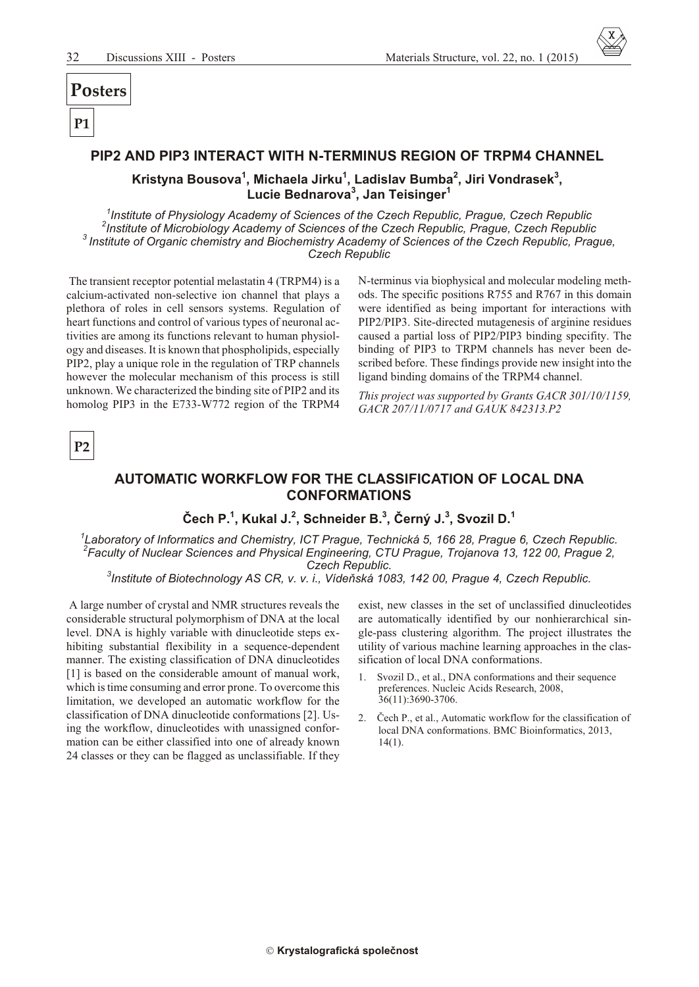## Posters

 $P<sub>1</sub>$ 

#### PIP2 AND PIP3 INTERACT WITH N-TERMINUS REGION OF TRPM4 CHANNEL

Kristyna Bousova<sup>1</sup>, Michaela Jirku<sup>1</sup>, Ladislav Bumba<sup>2</sup>, Jiri Vondrasek<sup>3</sup>,<br>Lucie Bednarova<sup>3</sup>, Jan Teisinger<sup>1</sup>

<sup>1</sup>Institute of Physiology Academy of Sciences of the Czech Republic, Prague, Czech Republic Institute of Microbiology Academy of Sciences of the Czech Republic, Prague, Czech Republic <sup>3</sup> Institute of Organic chemistry and Biochemistry Academy of Sciences of the Czech Republic, Prague, **Czech Republic** 

The transient receptor potential melastatin 4 (TRPM4) is a calcium-activated non-selective ion channel that plays a plethora of roles in cell sensors systems. Regulation of heart functions and control of various types of neuronal activities are among its functions relevant to human physiology and diseases. It is known that phospholipids, especially PIP2, play a unique role in the regulation of TRP channels however the molecular mechanism of this process is still unknown. We characterized the binding site of PIP2 and its homolog PIP3 in the E733-W772 region of the TRPM4

N-terminus via biophysical and molecular modeling methods. The specific positions R755 and R767 in this domain were identified as being important for interactions with PIP2/PIP3. Site-directed mutagenesis of arginine residues caused a partial loss of PIP2/PIP3 binding specifity. The binding of PIP3 to TRPM channels has never been described before. These findings provide new insight into the ligand binding domains of the TRPM4 channel.

This project was supported by Grants GACR 301/10/1159, GACR 207/11/0717 and GAUK 842313.P2



#### AUTOMATIC WORKFLOW FOR THE CLASSIFICATION OF LOCAL DNA **CONFORMATIONS**

#### Čech P.<sup>1</sup>, Kukal J.<sup>2</sup>, Schneider B.<sup>3</sup>, Černý J.<sup>3</sup>, Svozil D.<sup>1</sup>

Laboratory of Informatics and Chemistry, ICT Prague, Technická 5, 166 28, Prague 6, Czech Republic. *Praculty of Nuclear Sciences and Physical Engineering, CTU Prague, Trojanova 13, 122 00, Prague 2,* Czech Republic.

 $^3$ Institute of Biotechnology AS CR, v. v. i., Vídeňská 1083, 142 00, Prague 4, Czech Republic.

A large number of crystal and NMR structures reveals the considerable structural polymorphism of DNA at the local level. DNA is highly variable with dinucleotide steps exhibiting substantial flexibility in a sequence-dependent manner. The existing classification of DNA dinucleotides [1] is based on the considerable amount of manual work, which is time consuming and error prone. To overcome this limitation, we developed an automatic workflow for the classification of DNA dinucleotide conformations [2]. Using the workflow, dinucleotides with unassigned conformation can be either classified into one of already known 24 classes or they can be flagged as unclassifiable. If they

exist, new classes in the set of unclassified dinucleotides are automatically identified by our nonhierarchical single-pass clustering algorithm. The project illustrates the utility of various machine learning approaches in the classification of local DNA conformations.

- Svozil D., et al., DNA conformations and their sequence  $1 \quad$ preferences. Nucleic Acids Research, 2008, 36(11):3690-3706.
- 2. Čech P., et al., Automatic workflow for the classification of local DNA conformations. BMC Bioinformatics, 2013,  $14(1)$ .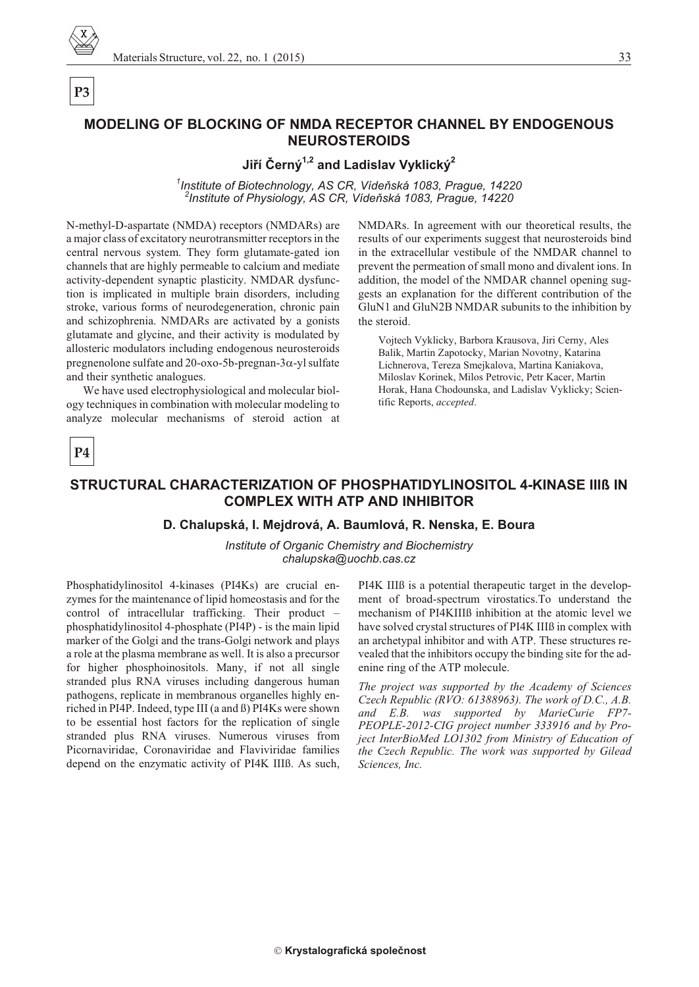

# P<sub>3</sub>

## MODELING OF BLOCKING OF NMDA RECEPTOR CHANNEL BY ENDOGENOUS **NEUROSTEROIDS**

### Jiří Černý<sup>1,2</sup> and Ladislav Vyklický<sup>2</sup>

<sup>1</sup>Institute of Biotechnology, AS CR, Vídeňská 1083, Prague, 14220 <sup>2</sup>Institute of Physiology, AS CR, Vídeňská 1083, Prague, 14220

N-methyl-D-aspartate (NMDA) receptors (NMDARs) are a major class of excitatory neurotransmitter receptors in the central nervous system. They form glutamate-gated ion channels that are highly permeable to calcium and mediate activity-dependent synaptic plasticity. NMDAR dysfunction is implicated in multiple brain disorders, including stroke, various forms of neurodegeneration, chronic pain and schizophrenia. NMDARs are activated by a gonists glutamate and glycine, and their activity is modulated by allosteric modulators including endogenous neurosteroids pregnenolone sulfate and 20-oxo-5b-pregnan-3 -yl sulfate and their synthetic analogues.

We have used electrophysiological and molecular biology techniques in combination with molecular modeling to analyze molecular mechanisms of steroid action at NMDARs. In agreement with our theoretical results, the results of our experiments suggest that neurosteroids bind in the extracellular vestibule of the NMDAR channel to prevent the permeation of small mono and divalent ions. In addition, the model of the NMDAR channel opening suggests an explanation for the different contribution of the GluN1 and GluN2B NMDAR subunits to the inhibition by the steroid.

Vojtech Vyklicky, Barbora Krausova, Jiri Cerny, Ales Balik, Martin Zapotocky, Marian Novotny, Katarina Lichnerova, Tereza Smejkalova, Martina Kaniakova, Miloslav Korinek, Milos Petrovic, Petr Kacer, Martin Horak, Hana Chodounska, and Ladislav Vyklicky; Scientific Reports, accepted.

# P<sub>4</sub>

# STRUCTURAL CHARACTERIZATION OF PHOSPHATIDYLINOSITOL 4-KINASE IIIR IN **COMPLEX WITH ATP AND INHIBITOR**

#### D. Chalupská, I. Mejdrová, A. Baumlová, R. Nenska, E. Boura

Institute of Organic Chemistry and Biochemistry chalupska@uochb.cas.cz

Phosphatidylinositol 4-kinases (PI4Ks) are crucial enzymes for the maintenance of lipid homeostasis and for the control of intracellular trafficking. Their product phosphatidylinositol 4-phosphate (PI4P) - is the main lipid marker of the Golgi and the trans-Golgi network and plays a role at the plasma membrane as well. It is also a precursor for higher phosphoinositols. Many, if not all single stranded plus RNA viruses including dangerous human pathogens, replicate in membranous organelles highly enriched in PI4P. Indeed, type III (a and B) PI4Ks were shown to be essential host factors for the replication of single stranded plus RNA viruses. Numerous viruses from Picornaviridae, Coronaviridae and Flaviviridae families depend on the enzymatic activity of PI4K IIIB. As such,

PI4K IIIB is a potential therapeutic target in the development of broad-spectrum virostatics. To understand the mechanism of PI4KIIIB inhibition at the atomic level we have solved crystal structures of PI4K IIIB in complex with an archetypal inhibitor and with ATP. These structures revealed that the inhibitors occupy the binding site for the adenine ring of the ATP molecule.

The project was supported by the Academy of Sciences Czech Republic (RVO: 61388963). The work of D.C., A.B. and E.B. was supported by MarieCurie FP7-PEOPLE-2012-CIG project number 333916 and by Project InterBioMed LO1302 from Ministry of Education of the Czech Republic. The work was supported by Gilead Sciences, Inc.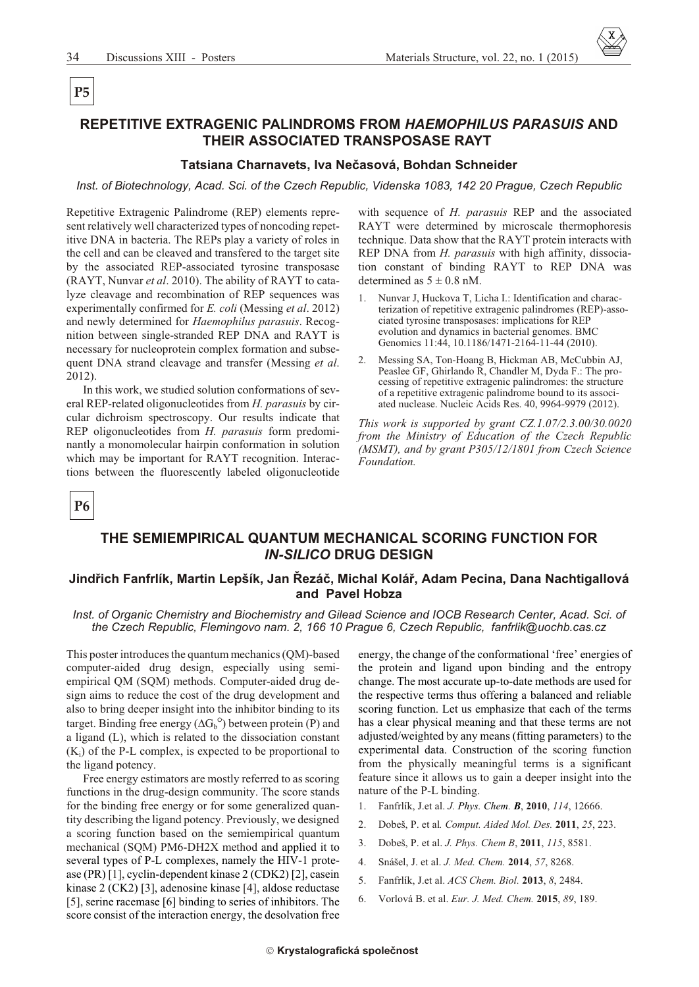# P<sub>5</sub>

### REPETITIVE EXTRAGENIC PALINDROMS FROM HAEMOPHILUS PARASUIS AND THEIR ASSOCIATED TRANSPOSASE RAYT

#### Tatsiana Charnavets, Iva Nečasová, Bohdan Schneider

Inst. of Biotechnology, Acad. Sci. of the Czech Republic, Videnska 1083, 142 20 Prague, Czech Republic

Repetitive Extragenic Palindrome (REP) elements represent relatively well characterized types of noncoding repetitive DNA in bacteria. The REPs play a variety of roles in the cell and can be cleaved and transfered to the target site by the associated REP-associated tyrosine transposase (RAYT, Nunvar et al. 2010). The ability of RAYT to catalyze cleavage and recombination of REP sequences was experimentally confirmed for E. coli (Messing et al. 2012) and newly determined for Haemophilus parasuis. Recognition between single-stranded REP DNA and RAYT is necessary for nucleoprotein complex formation and subsequent DNA strand cleavage and transfer (Messing et al. 2012).

In this work, we studied solution conformations of several REP-related oligonucleotides from H. parasuis by circular dichroism spectroscopy. Our results indicate that REP oligonucleotides from H. parasuis form predominantly a monomolecular hairpin conformation in solution which may be important for RAYT recognition. Interactions between the fluorescently labeled oligonucleotide

with sequence of *H. parasuis* REP and the associated RAYT were determined by microscale thermophoresis technique. Data show that the RAYT protein interacts with REP DNA from *H. parasuis* with high affinity, dissociation constant of binding RAYT to REP DNA was determined as  $5 \pm 0.8$  nM.

- $1<sup>1</sup>$ Nunvar J, Huckova T, Licha I.: Identification and characterization of repetitive extragenic palindromes (REP)-associated tyrosine transposases: implications for REP evolution and dynamics in bacterial genomes. BMC Genomics 11:44, 10.1186/1471-2164-11-44 (2010).
- Messing SA, Ton-Hoang B, Hickman AB, McCubbin AJ,  $2.$ Peaslee GF, Ghirlando R, Chandler M, Dyda F.: The processing of repetitive extragenic palindromes: the structure of a repetitive extragenic palindrome bound to its associated nuclease. Nucleic Acids Res. 40, 9964-9979 (2012).

This work is supported by grant  $CZ.1.07/2.3.00/30.0020$ from the Ministry of Education of the Czech Republic (MSMT), and by grant P305/12/1801 from Czech Science *Foundation* 

**P6** 

#### THE SEMIEMPIRICAL QUANTUM MECHANICAL SCORING FUNCTION FOR **IN-SILICO DRUG DESIGN**

#### Jindřich Fanfrlík, Martin Lepšík, Jan Řezáč, Michal Kolář, Adam Pecina, Dana Nachtigallová and Pavel Hobza

Inst. of Organic Chemistry and Biochemistry and Gilead Science and IOCB Research Center, Acad. Sci. of the Czech Republic, Flemingovo nam. 2, 166 10 Prague 6, Czech Republic, fanfrlik@uochb.cas.cz

This poster introduces the quantum mechanics (QM)-based computer-aided drug design, especially using semiempirical QM (SQM) methods. Computer-aided drug design aims to reduce the cost of the drug development and also to bring deeper insight into the inhibitor binding to its target. Binding free energy  $(G_b^{\circ})$  between protein (P) and a ligand (L), which is related to the dissociation constant  $(K_i)$  of the P-L complex, is expected to be proportional to the ligand potency.

Free energy estimators are mostly referred to as scoring functions in the drug-design community. The score stands for the binding free energy or for some generalized quantity describing the ligand potency. Previously, we designed a scoring function based on the semiempirical quantum mechanical (SQM) PM6-DH2X method and applied it to several types of P-L complexes, namely the HIV-1 protease (PR) [1], cyclin-dependent kinase 2 (CDK2) [2], casein kinase 2 (CK2) [3], adenosine kinase [4], aldose reductase [5], serine racemase [6] binding to series of inhibitors. The score consist of the interaction energy, the desolvation free energy, the change of the conformational 'free' energies of the protein and ligand upon binding and the entropy change. The most accurate up-to-date methods are used for the respective terms thus offering a balanced and reliable scoring function. Let us emphasize that each of the terms has a clear physical meaning and that these terms are not adjusted/weighted by any means (fitting parameters) to the experimental data. Construction of the scoring function from the physically meaningful terms is a significant feature since it allows us to gain a deeper insight into the nature of the P-L binding.

- $\mathbf{1}$ Fanfrlík, J.et al. J. Phys. Chem. B, 2010, 114, 12666.
- $2^{1}$ Dobeš, P. et al. Comput. Aided Mol. Des. 2011, 25, 223.
- $\mathcal{L}$ Dobeš, P. et al. J. Phys. Chem B, 2011, 115, 8581.
- $4<sup>1</sup>$ Snášel, J. et al. J. Med. Chem. 2014, 57, 8268.
- 5. Fanfrlík, J.et al. ACS Chem. Biol. 2013, 8, 2484.
- 6. Vorlová B. et al. Eur. J. Med. Chem. 2015, 89, 189.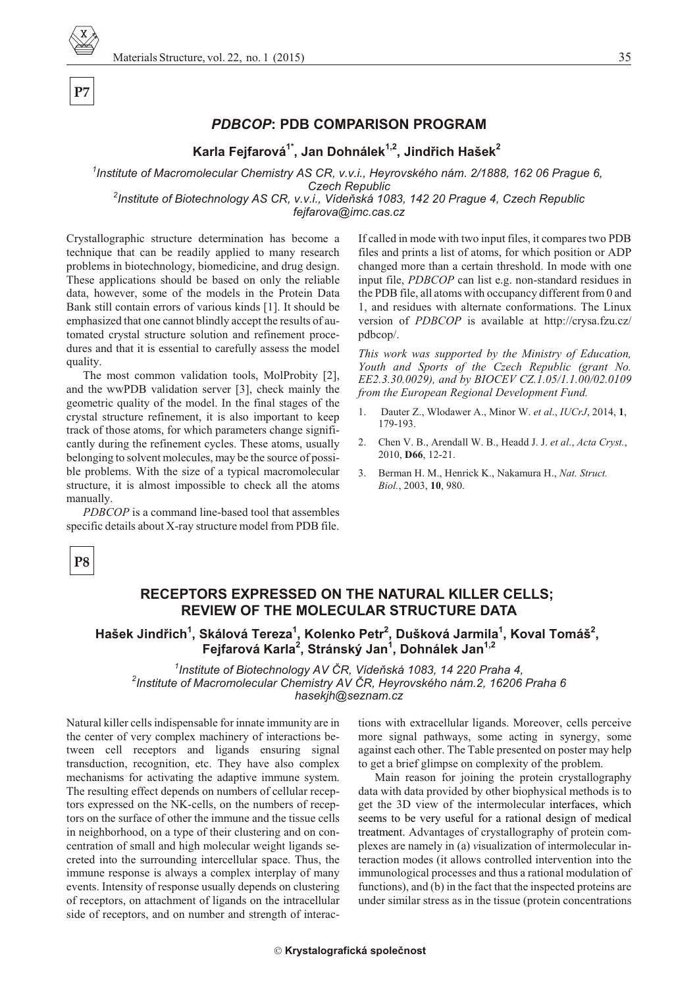#### *PDBCOP***: PDB COMPARISON PROGRAM**

**Karla Fejfarová1\*, Jan Dohnálek1,2, Jindøich Hašek<sup>2</sup>**

<sup>1</sup> Institute of Macromolecular Chemistry AS CR, v.v.i., Heyrovského nám. 2/1888, 162 06 Prague 6, **Czech Republic** 

<sup>2</sup> Institute of Biotechnology AS CR, v.v.i., Vídeňská 1083, 142 20 Prague 4, Czech Republic *fejfarova@imc.cas.cz*

Crystallographic structure determination has become a technique that can be readily applied to many research problems in biotechnology, biomedicine, and drug design. These applications should be based on only the reliable data, however, some of the models in the Protein Data Bank still contain errors of various kinds [1]. It should be emphasized that one cannot blindly accept the results of auto mated crystal structure solution and refinement procedures and that it is essential to carefully assess the model quality.

The most common validation tools, MolProbity [2], and the wwPDB validation server [3], check mainly the geometric quality of the model. In the final stages of the crystal structure refinement, it is also important to keep track of those atoms, for which parameters change significantly during the refinement cycles. These atoms, usually belonging to solvent molecules, may be the source of possible problems. With the size of a typical macromolecular structure, it is almost impossible to check all the atoms manually.

*PDBCOP* is a command line-based tool that assembles specific details about X-ray structure model from PDB file.

If called in mode with two input files, it compares two PDB files and prints a list of atoms, for which position or ADP changed more than a certain threshold. In mode with one input file, *PDBCOP* can list e.g. non-standard residues in the PDB file, all atoms with occupancy different from 0 and 1, and residues with alternate conformations. The Linux version of *PDBCOP* is available at http://crysa.fzu.cz/ pdbcop/.

*This work was supported by the Ministry of Education,* Youth and Sports of the Czech Republic (grant No. *EE2.3.30.0029), and by BIOCEV CZ.1.05/1.1.00/02.0109 from the European Regional Development Fund.* 

- 1. Dauter Z., Wlodawer A., Mi nor W. *et al*., *IUCrJ*, 2014, **1**, 179-193.
- 2. Chen V. B., Arendall W. B., Headd J. J. *et al*., *Acta Cryst.*, 2010, **D66**, 12-21.
- 3. Berman H. M., Henrick K., Nakamura H., *Nat. Struct. Biol.*, 2003, **10**, 980.

**P7**

#### **RECEPTORS EXPRESSED ON THE NATURAL KILLER CELLS; REVIEW OF THE MOLECULAR STRUCTURE DATA**

#### **Hašek Jindøich<sup>1</sup> , Skálová Tereza<sup>1</sup> , Kolenko Petr<sup>2</sup> , Dušková Jarmila<sup>1</sup> , Koval Tomáš<sup>2</sup> , Fejfarová Karla<sup>2</sup> , Stránský Jan<sup>1</sup> , Dohnálek Jan1,2**

<sup>1</sup> Institute of Biotechnology AV ČR, Vídeňská 1083, 14 220 Praha 4, <sup>2</sup> Institute of Macromolecular Chemistry AV ČR, Heyrovského nám.2, 16206 Praha 6 *hasekjh@seznam.cz*

Natural killer cells indispensable for innate immunity are in the center of very complex machinery of interactions between cell receptors and ligands ensuring signal transduction, recognition, etc. They have also complex mechanisms for activating the adaptive immune system. The resulting effect depends on numbers of cellular receptors expressed on the NK-cells, on the numbers of receptors on the surface of other the immune and the tissue cells in neighborhood, on a type of their clustering and on concentration of small and high molecular weight ligands secreted into the surrounding intercellular space. Thus, the immune response is always a complex interplay of many events. Intensity of response usually depends on clustering of receptors, on attachment of ligands on the intracellular side of receptors, and on number and strength of interactions with extracellular ligands. Moreover, cells perceive more signal pathways, some acting in synergy, some against each other. The Table presented on poster may help to get a brief glimpse on complexity of the problem.

Main reason for joining the protein crystallography data with data provided by other biophysical methods is to get the 3D view of the intermolecular interfaces, which seems to be very useful for a rational design of medical treatment. Advantages of crystallography of protein complexes are namely in (a) *v*isualization of intermolecular in teraction modes (it allows controlled intervention into the im munological processes and thus a rational modulation of functions), and (b) in the fact that the inspected proteins are under similar stress as in the tissue (protein concentrations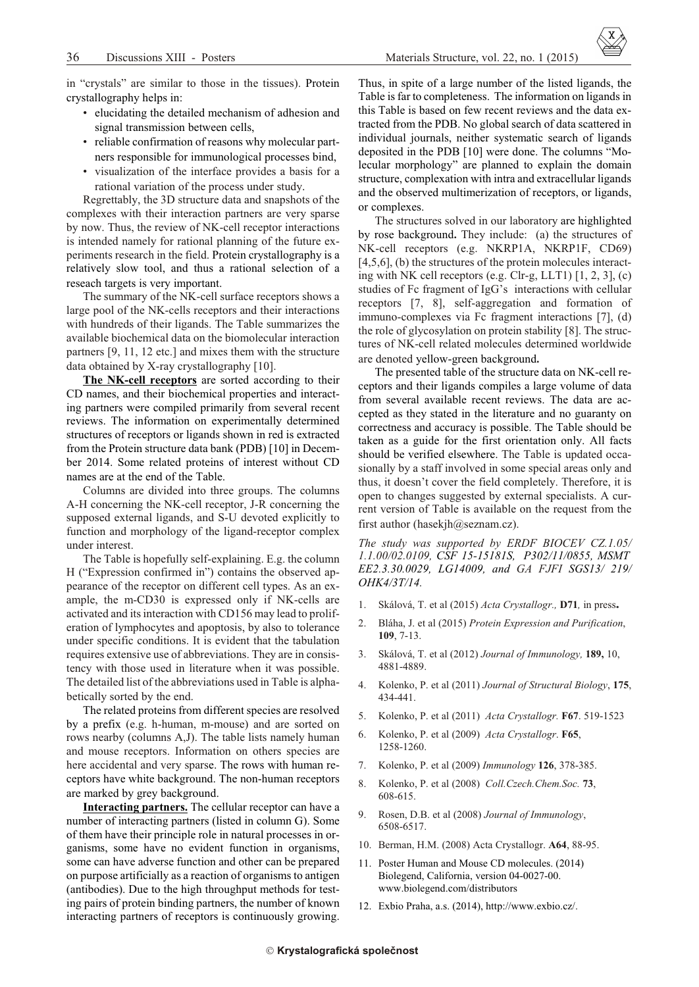in "crystals" are similar to those in the tissues). Protein crystallography helps in:

- elucidating the detailed mechanism of adhesion and signal transmission between cells,
- reliable confirmation of reasons why molecular partners responsible for immunological processes bind,
- visualization of the interface provides a basis for a rational variation of the process under study.

Regrettably, the 3D structure data and snapshots of the complexes with their interaction partners are very sparse by now. Thus, the review of NK-cell receptor interactions is intended namely for rational planning of the future experiments research in the field. Protein crystallography is a relatively slow tool, and thus a rational selection of a reseach targets is very important.

The summary of the NK-cell surface receptors shows a large pool of the NK-cells receptors and their interactions with hundreds of their ligands. The Table summarizes the available biochemical data on the biomolecular interaction partners [9, 11, 12 etc.] and mixes them with the structure data obtained by X-ray crystallography [10].

The NK-cell receptors are sorted according to their CD names, and their biochemical properties and interacting partners were compiled primarily from several recent reviews. The information on experimentally determined structures of receptors or ligands shown in red is extracted from the Protein structure data bank (PDB) [10] in December 2014. Some related proteins of interest without CD names are at the end of the Table.

Columns are divided into three groups. The columns A-H concerning the NK-cell receptor, J-R concerning the supposed external ligands, and S-U devoted explicitly to function and morphology of the ligand-receptor complex under interest.

The Table is hopefully self-explaining. E.g. the column H ("Expression confirmed in") contains the observed appearance of the receptor on different cell types. As an example, the m-CD30 is expressed only if NK-cells are activated and its interaction with CD156 may lead to proliferation of lymphocytes and apoptosis, by also to tolerance under specific conditions. It is evident that the tabulation requires extensive use of abbreviations. They are in consistency with those used in literature when it was possible. The detailed list of the abbreviations used in Table is alphabetically sorted by the end.

The related proteins from different species are resolved by a prefix (e.g. h-human, m-mouse) and are sorted on rows nearby (columns A,J). The table lists namely human and mouse receptors. Information on others species are here accidental and very sparse. The rows with human receptors have white background. The non-human receptors are marked by grey background.

**Interacting partners.** The cellular receptor can have a number of interacting partners (listed in column G). Some of them have their principle role in natural processes in organisms, some have no evident function in organisms, some can have adverse function and other can be prepared on purpose artificially as a reaction of organisms to antigen (antibodies). Due to the high throughput methods for testing pairs of protein binding partners, the number of known interacting partners of receptors is continuously growing.

Thus, in spite of a large number of the listed ligands, the Table is far to completeness. The information on ligands in this Table is based on few recent reviews and the data extracted from the PDB. No global search of data scattered in individual journals, neither systematic search of ligands deposited in the PDB [10] were done. The columns "Molecular morphology" are planned to explain the domain structure, complexation with intra and extracellular ligands and the observed multimerization of receptors, or ligands, or complexes.

The structures solved in our laboratory are highlighted by rose background. They include: (a) the structures of NK-cell receptors (e.g. NKRP1A, NKRP1F, CD69)  $[4,5,6]$ , (b) the structures of the protein molecules interacting with NK cell receptors (e.g. Clr-g, LLT1)  $[1, 2, 3]$ , (c) studies of Fc fragment of IgG's interactions with cellular receptors [7, 8], self-aggregation and formation of immuno-complexes via Fc fragment interactions [7], (d) the role of glycosylation on protein stability [8]. The structures of NK-cell related molecules determined worldwide are denoted yellow-green background.

The presented table of the structure data on NK-cell receptors and their ligands compiles a large volume of data from several available recent reviews. The data are accepted as they stated in the literature and no guaranty on correctness and accuracy is possible. The Table should be taken as a guide for the first orientation only. All facts should be verified elsewhere. The Table is updated occasionally by a staff involved in some special areas only and thus, it doesn't cover the field completely. Therefore, it is open to changes suggested by external specialists. A current version of Table is available on the request from the first author (hasekjh@seznam.cz).

The study was supported by ERDF BIOCEV CZ.1.05/ 1.1.00/02.0109, CSF 15-15181S, P302/11/0855, MSMT EE2.3.30.0029, LG14009, and GA FJFI SGS13/ 219/ OHK4/3T/14.

- 1. Skálová, T. et al (2015) Acta Crystallogr., D71, in press.
- $\overline{2}$ . Bláha, J. et al (2015) Protein Expression and Purification,  $109, 7-13.$
- Skálová, T. et al (2012) Journal of Immunology, 189, 10,  $\mathcal{E}$ 4881-4889.
- $4<sup>1</sup>$ Kolenko, P. et al (2011) Journal of Structural Biology, 175, 434-441.
- 5. Kolenko, P. et al (2011) Acta Crystallogr. F67. 519-1523
- Kolenko, P. et al (2009) Acta Crystallogr. F65, 6. 1258-1260.
- 7. Kolenko, P. et al (2009) Immunology 126, 378-385.
- $\mathsf{R}$ Kolenko, P. et al (2008) Coll. Czech. Chem. Soc. 73, 608-615.
- 9. Rosen, D.B. et al (2008) Journal of Immunology, 6508-6517.
- 10. Berman, H.M. (2008) Acta Crystallogr. A64, 88-95.
- 11. Poster Human and Mouse CD molecules. (2014) Biolegend, California, version 04-0027-00. www.biolegend.com/distributors
- 12. Exbio Praha, a.s. (2014), http://www.exbio.cz/.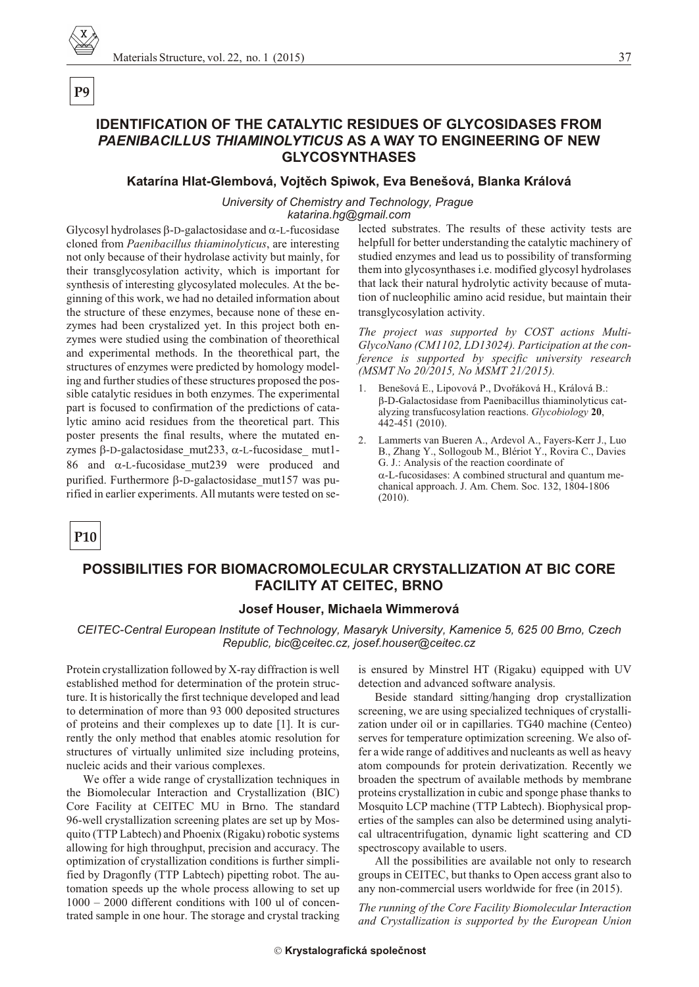# **IDENTIFICATION OF THE CATALYTIC RESIDUES OF GLYCOSIDASES FROM PAENIBACILLUS THIAMINOLYTICUS AS A WAY TO ENGINEERING OF NEW GLYCOSYNTHASES**

#### Katarína Hlat-Glembová, Vojtěch Spiwok, Eva Benešová, Blanka Králová

#### University of Chemistry and Technology, Prague

katarina.hg@gmail.com

Glycosyl hydrolases -D-galactosidase and -L-fucosidase cloned from Paenibacillus thiaminolyticus, are interesting not only because of their hydrolase activity but mainly, for their transglycosylation activity, which is important for synthesis of interesting glycosylated molecules. At the beginning of this work, we had no detailed information about the structure of these enzymes, because none of these enzymes had been crystalized yet. In this project both enzymes were studied using the combination of theorethical and experimental methods. In the theorethical part, the structures of enzymes were predicted by homology modeling and further studies of these structures proposed the possible catalytic residues in both enzymes. The experimental part is focused to confirmation of the predictions of catalytic amino acid residues from the theoretical part. This poster presents the final results, where the mutated enzymes -D-galactosidase mut233, -L-fucosidase mut1--L-fucosidase mut239 were produced and 86 and purified. Furthermore -D-galactosidase\_mut157 was purified in earlier experiments. All mutants were tested on selected substrates. The results of these activity tests are helpfull for better understanding the catalytic machinery of studied enzymes and lead us to possibility of transforming them into glycosynthases i.e. modified glycosyl hydrolases that lack their natural hydrolytic activity because of mutation of nucleophilic amino acid residue, but maintain their transglycosylation activity.

The project was supported by COST actions Multi-GlycoNano (CM1102, LD13024). Participation at the conference is supported by specific university research (MSMT No 20/2015, No MSMT 21/2015).

- 1. Benešová E., Lipovová P., Dvořáková H., Králová B.: -D-Galactosidase from Paenibacillus thiaminolyticus catalyzing transfucosylation reactions. Glycobiology 20, 442-451 (2010).
- $2.$ Lammerts van Bueren A., Ardevol A., Fayers-Kerr J., Luo B., Zhang Y., Sollogoub M., Blériot Y., Rovira C., Davies G. J.: Analysis of the reaction coordinate of -L-fucosidases: A combined structural and quantum mechanical approach. J. Am. Chem. Soc. 132, 1804-1806  $(2010).$

P<sub>10</sub>

# POSSIBILITIES FOR BIOMACROMOLECULAR CRYSTALLIZATION AT BIC CORE **FACILITY AT CEITEC, BRNO**

#### Josef Houser, Michaela Wimmerová

CEITEC-Central European Institute of Technology, Masaryk University, Kamenice 5, 625 00 Brno, Czech Republic, bic@ceitec.cz, josef.houser@ceitec.cz

Protein crystallization followed by X-ray diffraction is well established method for determination of the protein structure. It is historically the first technique developed and lead to determination of more than 93 000 deposited structures of proteins and their complexes up to date [1]. It is currently the only method that enables atomic resolution for structures of virtually unlimited size including proteins, nucleic acids and their various complexes.

We offer a wide range of crystallization techniques in the Biomolecular Interaction and Crystallization (BIC) Core Facility at CEITEC MU in Brno. The standard 96-well crystallization screening plates are set up by Mosquito (TTP Labtech) and Phoenix (Rigaku) robotic systems allowing for high throughput, precision and accuracy. The optimization of crystallization conditions is further simplified by Dragonfly (TTP Labtech) pipetting robot. The automation speeds up the whole process allowing to set up 1000 - 2000 different conditions with 100 ul of concentrated sample in one hour. The storage and crystal tracking

is ensured by Minstrel HT (Rigaku) equipped with UV detection and advanced software analysis.

Beside standard sitting/hanging drop crystallization screening, we are using specialized techniques of crystallization under oil or in capillaries. TG40 machine (Centeo) serves for temperature optimization screening. We also offer a wide range of additives and nucleants as well as heavy atom compounds for protein derivatization. Recently we broaden the spectrum of available methods by membrane proteins crystallization in cubic and sponge phase thanks to Mosquito LCP machine (TTP Labtech). Biophysical properties of the samples can also be determined using analytical ultracentrifugation, dynamic light scattering and CD spectroscopy available to users.

All the possibilities are available not only to research groups in CEITEC, but thanks to Open access grant also to any non-commercial users worldwide for free (in 2015).

The running of the Core Facility Biomolecular Interaction and Crystallization is supported by the European Union

37

P<sub>9</sub>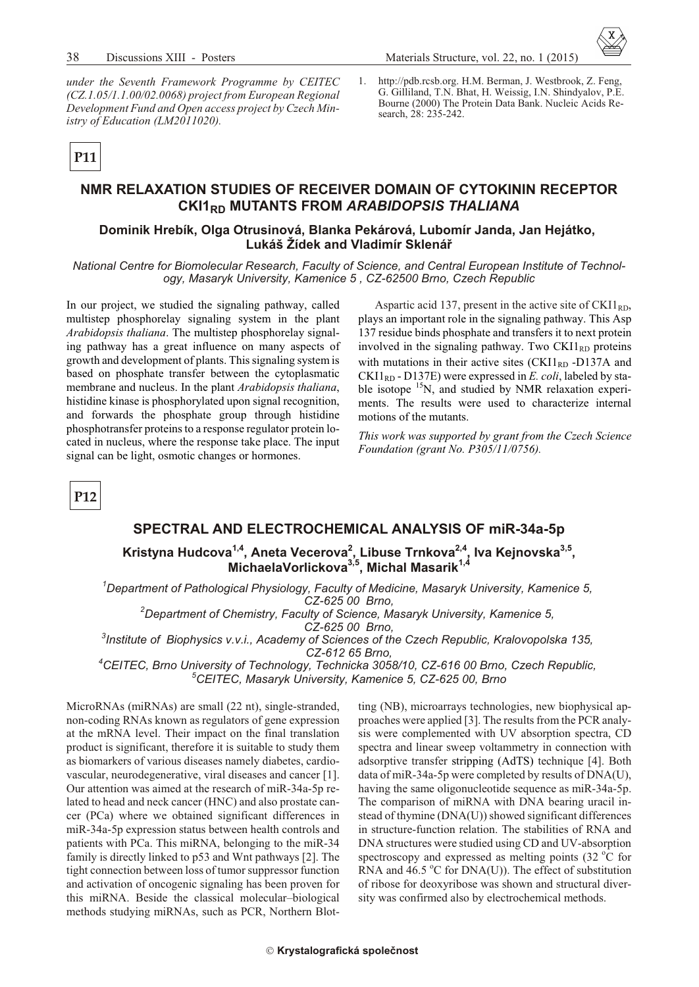

under the Seventh Framework Programme by CEITEC  $(CZ.1.05/1.1.00/02.0068)$  project from European Regional Development Fund and Open access project by Czech Ministry of Education (LM2011020).

 $1.$ http://pdb.rcsb.org. H.M. Berman, J. Westbrook, Z. Feng, G. Gilliland, T.N. Bhat, H. Weissig, I.N. Shindyalov, P.E. Bourne (2000) The Protein Data Bank. Nucleic Acids Research, 28: 235-242.

P11

#### NMR RELAXATION STUDIES OF RECEIVER DOMAIN OF CYTOKININ RECEPTOR CKI1<sub>RD</sub> MUTANTS FROM ARABIDOPSIS THALIANA

#### Dominik Hrebík, Olga Otrusinová, Blanka Pekárová, Lubomír Janda, Jan Hejátko, Lukáš Žídek and Vladimír Sklenář

National Centre for Biomolecular Research, Faculty of Science, and Central European Institute of Technology, Masaryk University, Kamenice 5, CZ-62500 Brno, Czech Republic

In our project, we studied the signaling pathway, called multistep phosphorelay signaling system in the plant Arabidopsis thaliana. The multistep phosphorelay signaling pathway has a great influence on many aspects of growth and development of plants. This signaling system is based on phosphate transfer between the cytoplasmatic membrane and nucleus. In the plant Arabidopsis thaliana, histidine kinase is phosphorylated upon signal recognition, and forwards the phosphate group through histidine phosphotransfer proteins to a response regulator protein located in nucleus, where the response take place. The input signal can be light, osmotic changes or hormones.

Aspartic acid 137, present in the active site of  $CKI1_{RD}$ , plays an important role in the signaling pathway. This Asp 137 residue binds phosphate and transfers it to next protein involved in the signaling pathway. Two  $CKII_{RD}$  proteins with mutations in their active sites  $\rm (CKII_{RD}$ -D137A and  $CKII<sub>RD</sub>$  - D137E) were expressed in E. coli, labeled by stable isotope <sup>15</sup>N, and studied by NMR relaxation experiments. The results were used to characterize internal motions of the mutants.

This work was supported by grant from the Czech Science Foundation (grant No. P305/11/0756).



#### SPECTRAL AND ELECTROCHEMICAL ANALYSIS OF miR-34a-5p

Kristyna Hudcova<sup>1,4</sup>, Aneta Vecerova<sup>2</sup>, Libuse Trnkova<sup>2,4</sup>, Iva Kejnovska<sup>3,5</sup>,<br>MichaelaVorlickova<sup>3,5</sup>, Michal Masarik<sup>1,4</sup>

<sup>1</sup>Department of Pathological Physiology, Faculty of Medicine, Masaryk University, Kamenice 5, CZ-625 00 Brno,

<sup>2</sup>Department of Chemistry, Faculty of Science, Masaryk University, Kamenice 5,

CZ-625 00 Brno,

 $3$ Institute of Biophysics v.v.i., Academy of Sciences of the Czech Republic, Kralovopolska 135, CZ-612 65 Brno,

<sup>4</sup>CEITEC, Brno University of Technology, Technicka 3058/10, CZ-616 00 Brno, Czech Republic, <sup>o</sup>CEITEC, Masaryk University, Kamenice 5, CZ-625 00, Brno

MicroRNAs (miRNAs) are small (22 nt), single-stranded, non-coding RNAs known as regulators of gene expression at the mRNA level. Their impact on the final translation product is significant, therefore it is suitable to study them as biomarkers of various diseases namely diabetes, cardiovascular, neurodegenerative, viral diseases and cancer [1]. Our attention was aimed at the research of miR-34a-5p related to head and neck cancer (HNC) and also prostate cancer (PCa) where we obtained significant differences in miR-34a-5p expression status between health controls and patients with PCa. This miRNA, belonging to the miR-34 family is directly linked to p53 and Wnt pathways [2]. The tight connection between loss of tumor suppressor function and activation of oncogenic signaling has been proven for this miRNA. Beside the classical molecular-biological methods studying miRNAs, such as PCR, Northern Blot-

ting (NB), microarrays technologies, new biophysical approaches were applied [3]. The results from the PCR analysis were complemented with UV absorption spectra, CD spectra and linear sweep voltammetry in connection with adsorptive transfer stripping (AdTS) technique [4]. Both data of miR-34a-5p were completed by results of DNA(U), having the same oligonucleotide sequence as miR-34a-5p. The comparison of miRNA with DNA bearing uracil instead of thymine (DNA(U)) showed significant differences in structure-function relation. The stabilities of RNA and DNA structures were studied using CD and UV-absorption spectroscopy and expressed as melting points  $(32 \text{ °C}$  for RNA and  $46.5$  °C for DNA(U)). The effect of substitution of ribose for deoxyribose was shown and structural diversity was confirmed also by electrochemical methods.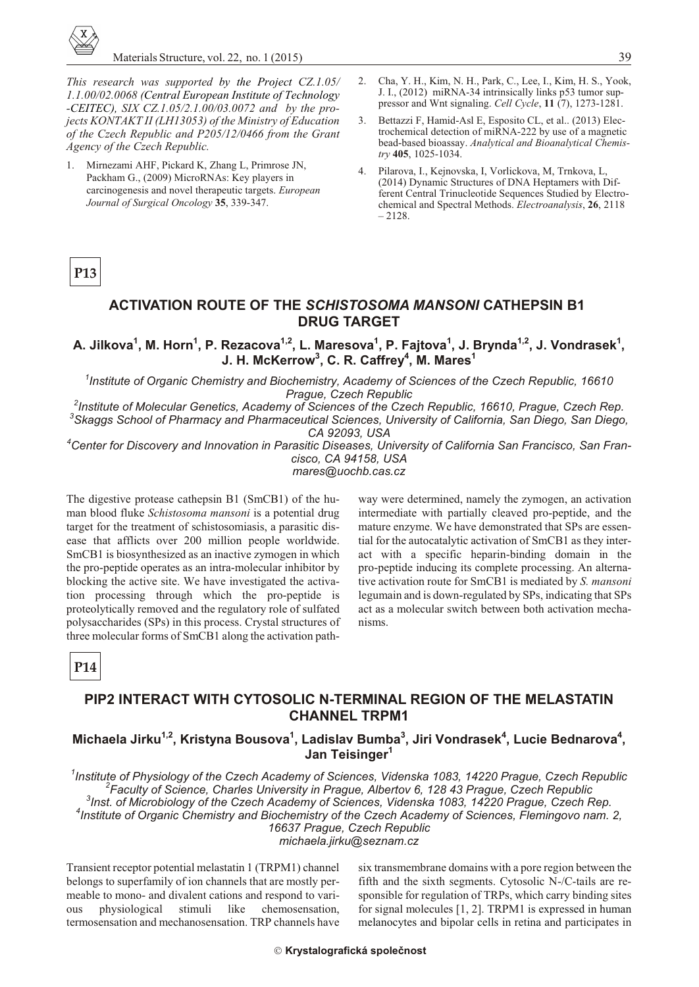

This research was supported by the Project CZ.1.05/ 1.1.00/02.0068 (Central European Institute of Technology -CEITEC), SIX CZ.1.05/2.1.00/03.0072 and by the projects KONTAKT II (LH13053) of the Ministry of Education of the Czech Republic and P205/12/0466 from the Grant Agency of the Czech Republic.

- 1. Mirnezami AHF, Pickard K, Zhang L, Primrose JN, Packham G., (2009) MicroRNAs: Key players in carcinogenesis and novel therapeutic targets. European Journal of Surgical Oncology 35, 339-347.
- $2.$ Cha, Y. H., Kim, N. H., Park, C., Lee, I., Kim, H. S., Yook, J. I., (2012) miRNA-34 intrinsically links p53 tumor suppressor and Wnt signaling. Cell Cycle, 11 (7), 1273-1281.
- Bettazzi F, Hamid-Asl E, Esposito CL, et al.. (2013) Elec-3. trochemical detection of miRNA-222 by use of a magnetic bead-based bioassay. Analytical and Bioanalytical Chemistry 405, 1025-1034.
- Pilarova, I., Kejnovska, I., Vorlickova, M., Trnkova, L.  $4.$ (2014) Dynamic Structures of DNA Heptamers with Different Central Trinucleotide Sequences Studied by Electrochemical and Spectral Methods. Electroanalysis, 26, 2118  $-2128$

# P<sub>13</sub>

#### **ACTIVATION ROUTE OF THE SCHISTOSOMA MANSONI CATHEPSIN B1 DRUG TARGET**

A. Jilkova<sup>1</sup>, M. Horn<sup>1</sup>, P. Rezacova<sup>1,2</sup>, L. Maresova<sup>1</sup>, P. Fajtova<sup>1</sup>, J. Brynda<sup>1,2</sup>, J. Vondrasek<sup>1</sup>, J. H. McKerrow<sup>3</sup>, C. R. Caffrey<sup>4</sup>, M. Mares<sup>1</sup>

<sup>1</sup>Institute of Organic Chemistry and Biochemistry, Academy of Sciences of the Czech Republic, 16610 Praque, Czech Republic

<sup>2</sup>Institute of Molecular Genetics, Academy of Sciences of the Czech Republic, 16610, Prague, Czech Rep. <sup>3</sup>Skaggs School of Pharmacy and Pharmaceutical Sciences, University of California, San Diego, San Diego, CA 92093, USA

<sup>4</sup>Center for Discovery and Innovation in Parasitic Diseases, University of California San Francisco, San Francisco, CA 94158, USA mares@uochb.cas.cz

The digestive protease cathepsin B1 (SmCB1) of the human blood fluke *Schistosoma mansoni* is a potential drug target for the treatment of schistosomiasis, a parasitic disease that afflicts over 200 million people worldwide. SmCB1 is biosynthesized as an inactive zymogen in which the pro-peptide operates as an intra-molecular inhibitor by blocking the active site. We have investigated the activation processing through which the pro-peptide is proteolytically removed and the regulatory role of sulfated polysaccharides (SPs) in this process. Crystal structures of three molecular forms of SmCB1 along the activation path-

way were determined, namely the zymogen, an activation intermediate with partially cleaved pro-peptide, and the mature enzyme. We have demonstrated that SPs are essential for the autocatalytic activation of SmCB1 as they interact with a specific heparin-binding domain in the pro-peptide inducing its complete processing. An alternative activation route for SmCB1 is mediated by S. mansoni legumain and is down-regulated by SPs, indicating that SPs act as a molecular switch between both activation mechanisms.

# P<sub>14</sub>

#### PIP2 INTERACT WITH CYTOSOLIC N-TERMINAL REGION OF THE MELASTATIN **CHANNEL TRPM1**

#### Michaela Jirku<sup>1,2</sup>, Kristyna Bousova<sup>1</sup>, Ladislav Bumba<sup>3</sup>, Jiri Vondrasek<sup>4</sup>, Lucie Bednarova<sup>4</sup>, Jan Teisinger<sup>1</sup>

<sup>1</sup>Institute of Physiology of the Czech Academy of Sciences, Videnska 1083, 14220 Prague, Czech Republic <sup>2</sup>Faculty of Science, Charles University in Prague, Albertov 6, 128 43 Prague, Czech Republic <sup>3</sup>Inst. of Microbiology of the Czech Academy of Sciences, Videnska 1083, 14220 Prague, Czech Rep. <sup>4</sup>Institute of Organic Chemistry and Biochemistry of the Czech Academy of Sciences, Flemingovo nam. 2, 16637 Praque, Czech Republic michaela.jirku@seznam.cz

Transient receptor potential melastatin 1 (TRPM1) channel belongs to superfamily of ion channels that are mostly permeable to mono- and divalent cations and respond to varichemosensation, physiological stimuli like ous termosensation and mechanosensation. TRP channels have six transmembrane domains with a pore region between the fifth and the sixth segments. Cytosolic N-/C-tails are responsible for regulation of TRPs, which carry binding sites for signal molecules  $[1, 2]$ . TRPM1 is expressed in human melanocytes and bipolar cells in retina and participates in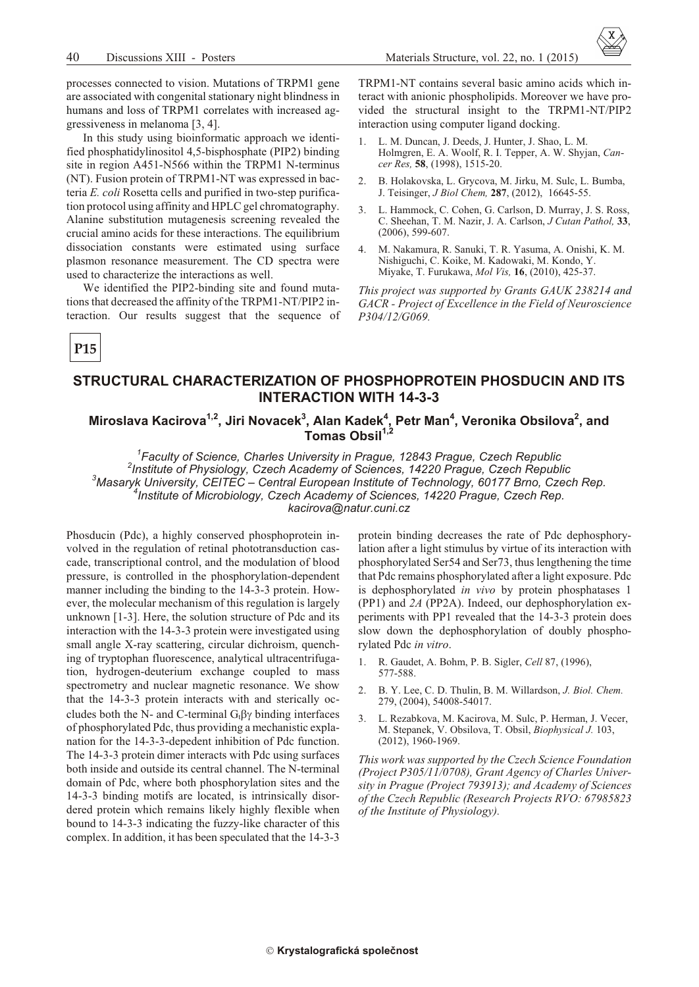processes connected to vision. Mutations of TRPM1 gene are associated with congenital stationary night blindness in humans and loss of TRPM1 correlates with increased aggressiveness in melanoma [3, 4].

In this study using bioinformatic approach we identified phosphatidylinositol 4,5-bisphosphate (PIP2) binding site in region A451-N566 within the TRPM1 N-terminus (NT). Fusion protein of TRPM1-NT was expressed in bacteria E. coli Rosetta cells and purified in two-step purification protocol using affinity and HPLC gel chromatography. Alanine substitution mutagenesis screening revealed the crucial amino acids for these interactions. The equilibrium dissociation constants were estimated using surface plasmon resonance measurement. The CD spectra were used to characterize the interactions as well.

We identified the PIP2-binding site and found mutations that decreased the affinity of the TRPM1-NT/PIP2 interaction. Our results suggest that the sequence of

TRPM1-NT contains several basic amino acids which interact with anionic phospholipids. Moreover we have provided the structural insight to the TRPM1-NT/PIP2 interaction using computer ligand docking.

- L. M. Duncan, J. Deeds, J. Hunter, J. Shao, L. M.  $\mathbf{1}$ Holmgren, E. A. Woolf, R. I. Tepper, A. W. Shyjan, Cancer Res, 58, (1998), 1515-20.
- B. Holakovska, L. Grvcova, M. Jirku, M. Sulc, L. Bumba,  $2<sub>1</sub>$ J. Teisinger, *J Biol Chem*, 287, (2012), 16645-55.
- L. Hammock, C. Cohen, G. Carlson, D. Murray, J. S. Ross, 3. C. Sheehan, T. M. Nazir, J. A. Carlson, J Cutan Pathol, 33,  $(2006)$ , 599-607.
- $4.$ M. Nakamura, R. Sanuki, T. R. Yasuma, A. Onishi, K. M. Nishiguchi, C. Koike, M. Kadowaki, M. Kondo, Y. Miyake, T. Furukawa, Mol Vis, 16, (2010), 425-37.

This project was supported by Grants GAUK 238214 and GACR - Project of Excellence in the Field of Neuroscience P304/12/G069.

**P15** 

#### STRUCTURAL CHARACTERIZATION OF PHOSPHOPROTEIN PHOSDUCIN AND ITS **INTERACTION WITH 14-3-3**

# Miroslava Kacirova<sup>1,2</sup>, Jiri Novacek<sup>3</sup>, Alan Kadek<sup>4</sup>, Petr Man<sup>4</sup>, Veronika Obsilova<sup>2</sup>, and<br>Tomas Obsil<sup>1,2</sup>

<sup>1</sup>Faculty of Science, Charles University in Prague, 12843 Prague, Czech Republic <sup>2</sup>Institute of Physiology, Czech Academy of Sciences, 14220 Prague, Czech Republic  $3$ Masaryk University, CEITEC - Central European Institute of Technology, 60177 Brno, Czech Rep. <sup>‡</sup>Institute of Microbiology, Czech Academy of Sciences, 14220 Prague, Czech Rep. kacirova@natur.cuni.cz

Phosducin (Pdc), a highly conserved phosphoprotein involved in the regulation of retinal phototransduction cascade, transcriptional control, and the modulation of blood pressure, is controlled in the phosphorylation-dependent manner including the binding to the 14-3-3 protein. However, the molecular mechanism of this regulation is largely unknown [1-3]. Here, the solution structure of Pdc and its interaction with the 14-3-3 protein were investigated using small angle X-ray scattering, circular dichroism, quenching of tryptophan fluorescence, analytical ultracentrifugation, hydrogen-deuterium exchange coupled to mass spectrometry and nuclear magnetic resonance. We show that the 14-3-3 protein interacts with and sterically occludes both the N- and C-terminal  $G_t$  binding interfaces of phosphorylated Pdc, thus providing a mechanistic explanation for the 14-3-3-depedent inhibition of Pdc function. The 14-3-3 protein dimer interacts with Pdc using surfaces both inside and outside its central channel. The N-terminal domain of Pdc, where both phosphorylation sites and the 14-3-3 binding motifs are located, is intrinsically disordered protein which remains likely highly flexible when bound to 14-3-3 indicating the fuzzy-like character of this complex. In addition, it has been speculated that the 14-3-3

protein binding decreases the rate of Pdc dephosphorylation after a light stimulus by virtue of its interaction with phosphorylated Ser54 and Ser73, thus lengthening the time that Pdc remains phosphorylated after a light exposure. Pdc is dephosphorylated in vivo by protein phosphatases 1 (PP1) and 2A (PP2A). Indeed, our dephosphorylation experiments with PP1 revealed that the 14-3-3 protein does slow down the dephosphorylation of doubly phosphorylated Pdc in vitro.

- R. Gaudet, A. Bohm, P. B. Sigler, Cell 87, (1996),  $\mathbf{1}$ 577-588.
- B. Y. Lee, C. D. Thulin, B. M. Willardson, J. Biol. Chem. 279, (2004), 54008-54017.
- L. Rezabkova, M. Kacirova, M. Sulc, P. Herman, J. Vecer,  $3<sub>1</sub>$ M. Stepanek, V. Obsilova, T. Obsil, Biophysical J. 103,  $(2012), 1960-1969.$

This work was supported by the Czech Science Foundation (Project P305/11/0708), Grant Agency of Charles University in Prague (Project 793913); and Academy of Sciences of the Czech Republic (Research Projects RVO: 67985823 of the Institute of Physiology).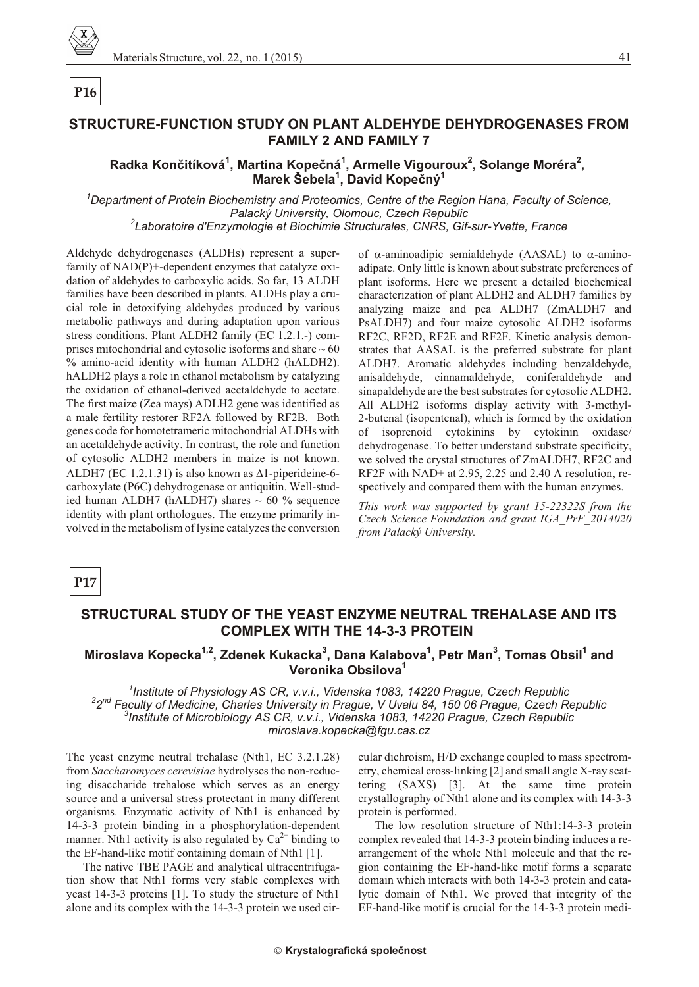

# P<sub>16</sub>

41

# STRUCTURE-FUNCTION STUDY ON PLANT ALDEHYDE DEHYDROGENASES FROM **FAMILY 2 AND FAMILY 7**

## Radka Končitíková<sup>1</sup>, Martina Kopečná<sup>1</sup>, Armelle Vigouroux<sup>2</sup>, Solange Moréra<sup>2</sup>, Marek Šebela<sup>1</sup>, David Kopečný<sup>1</sup>

<sup>1</sup>Department of Protein Biochemistry and Proteomics, Centre of the Region Hana, Faculty of Science, Palacký University, Olomouc, Czech Republic <sup>2</sup>Laboratoire d'Enzymologie et Biochimie Structurales, CNRS, Gif-sur-Yvette, France

Aldehyde dehydrogenases (ALDHs) represent a superfamily of NAD(P)+-dependent enzymes that catalyze oxidation of aldehydes to carboxylic acids. So far, 13 ALDH families have been described in plants. ALDHs play a crucial role in detoxifying aldehydes produced by various metabolic pathways and during adaptation upon various stress conditions. Plant ALDH2 family (EC 1.2.1.-) comprises mitochondrial and cytosolic isoforms and share  $\sim 60$ % amino-acid identity with human ALDH2 (hALDH2). hALDH2 plays a role in ethanol metabolism by catalyzing the oxidation of ethanol-derived acetaldehyde to acetate. The first maize (Zea mays) ADLH2 gene was identified as a male fertility restorer RF2A followed by RF2B. Both genes code for homotetrameric mitochondrial ALDHs with an acetaldehyde activity. In contrast, the role and function of cytosolic ALDH2 members in maize is not known. ALDH7 (EC 1.2.1.31) is also known as 1-piperideine-6carboxylate (P6C) dehydrogenase or antiquitin. Well-studied human ALDH7 (hALDH7) shares  $\sim 60$  % sequence identity with plant orthologues. The enzyme primarily involved in the metabolism of lysine catalyzes the conversion

of -aminoadipic semialdehyde (AASAL) to -aminoadipate. Only little is known about substrate preferences of plant isoforms. Here we present a detailed biochemical characterization of plant ALDH2 and ALDH7 families by analyzing maize and pea ALDH7 (ZmALDH7 and PsALDH7) and four maize cytosolic ALDH2 isoforms RF2C, RF2D, RF2E and RF2F. Kinetic analysis demonstrates that AASAL is the preferred substrate for plant ALDH7. Aromatic aldehydes including benzaldehyde, anisaldehyde, cinnamaldehyde, coniferaldehyde and sinapaldehyde are the best substrates for cytosolic ALDH2. All ALDH2 isoforms display activity with 3-methyl-2-butenal (isopentenal), which is formed by the oxidation of isoprenoid cytokinins by cytokinin oxidase/ dehydrogenase. To better understand substrate specificity, we solved the crystal structures of ZmALDH7, RF2C and RF2F with NAD+ at 2.95, 2.25 and 2.40 A resolution, respectively and compared them with the human enzymes.

This work was supported by grant 15-22322S from the Czech Science Foundation and grant IGA PrF 2014020 from Palacký University.

#### P17

#### STRUCTURAL STUDY OF THE YEAST ENZYME NEUTRAL TREHALASE AND ITS **COMPLEX WITH THE 14-3-3 PROTEIN**

### Miroslava Kopecka<sup>1,2</sup>, Zdenek Kukacka<sup>3</sup>, Dana Kalabova<sup>1</sup>, Petr Man<sup>3</sup>, Tomas Obsil<sup>1</sup> and Veronika Obsilova<sup>1</sup>

<sup>1</sup>Institute of Physiology AS CR, v.v.i., Videnska 1083, 14220 Prague, Czech Republic <sup>2</sup>2<sup>nd</sup> Faculty of Medicine, Charles University in Prague, V Uvalu 84, 150 06 Prague, Czech Republic  $^3$ Institute of Microbiology AS CR, v.v.i., Videnska 1083, 14220 Prague, Czech Republic miroslava.kopecka@fgu.cas.cz

The yeast enzyme neutral trehalase (Nth1, EC 3.2.1.28) from Saccharomyces cerevisiae hydrolyses the non-reducing disaccharide trehalose which serves as an energy source and a universal stress protectant in many different organisms. Enzymatic activity of Nth1 is enhanced by 14-3-3 protein binding in a phosphorylation-dependent manner. Nth1 activity is also regulated by  $Ca^{2+}$  binding to the EF-hand-like motif containing domain of Nth1 [1].

The native TBE PAGE and analytical ultracentrifugation show that Nth1 forms very stable complexes with yeast 14-3-3 proteins [1]. To study the structure of Nth1 alone and its complex with the 14-3-3 protein we used circular dichroism, H/D exchange coupled to mass spectrometry, chemical cross-linking [2] and small angle X-ray scattering (SAXS) [3]. At the same time protein crystallography of Nth1 alone and its complex with 14-3-3 protein is performed.

The low resolution structure of Nth1:14-3-3 protein complex revealed that 14-3-3 protein binding induces a rearrangement of the whole Nth1 molecule and that the region containing the EF-hand-like motif forms a separate domain which interacts with both 14-3-3 protein and catalytic domain of Nth1. We proved that integrity of the EF-hand-like motif is crucial for the 14-3-3 protein medi-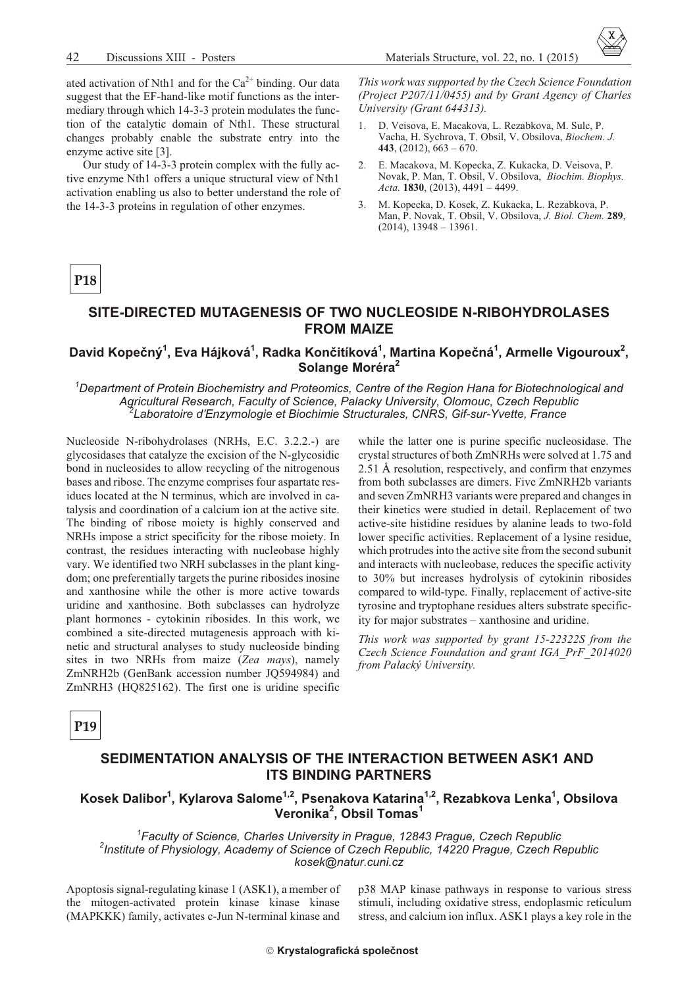

ated activation of Nth1 and for the  $Ca^{2+}$  binding. Our data suggest that the EF-hand-like motif functions as the intermediary through which 14-3-3 protein modulates the function of the catalytic domain of Nth1. These structural changes probably enable the substrate entry into the enzyme active site [3].

Our study of 14-3-3 protein complex with the fully active enzyme Nth1 offers a unique structural view of Nth1 activation enabling us also to better understand the role of the 14-3-3 proteins in regulation of other enzymes.

This work was supported by the Czech Science Foundation (Project P207/11/0455) and by Grant Agency of Charles University (Grant 644313).

- D. Veisova, E. Macakova, L. Rezabkova, M. Sulc, P.  $1$ Vacha, H. Sychrova, T. Obsil, V. Obsilova, Biochem. J. 443,  $(2012)$ ,  $663 - 670$ .
- 2. E. Macakova, M. Kopecka, Z. Kukacka, D. Veisova, P. Novak, P. Man, T. Obsil, V. Obsilova, Biochim. Biophys. Acta. 1830, (2013), 4491 - 4499.
- $\mathcal{Z}$ M. Kopecka, D. Kosek, Z. Kukacka, L. Rezabkova, P. Man, P. Novak, T. Obsil, V. Obsilova, J. Biol. Chem. 289,  $(2014)$ , 13948 – 13961.

# P<sub>18</sub>

#### SITE-DIRECTED MUTAGENESIS OF TWO NUCLEOSIDE N-RIBOHYDROLASES **FROM MAIZE**

#### David Kopečný<sup>1</sup>, Eva Hájková<sup>1</sup>, Radka Končitíková<sup>1</sup>, Martina Kopečná<sup>1</sup>, Armelle Vigouroux<sup>2</sup>, Solange Moréra<sup>2</sup>

<sup>1</sup>Department of Protein Biochemistry and Proteomics, Centre of the Region Hana for Biotechnological and Agricultural Research, Faculty of Science, Palacky University, Olomouc, Czech Republic Laboratoire d'Enzymologie et Biochimie Structurales, CNRS, Gif-sur-Yvette, France

Nucleoside N-ribohydrolases (NRHs, E.C. 3.2.2.-) are glycosidases that catalyze the excision of the N-glycosidic bond in nucleosides to allow recycling of the nitrogenous bases and ribose. The enzyme comprises four aspartate residues located at the N terminus, which are involved in catalysis and coordination of a calcium ion at the active site. The binding of ribose moiety is highly conserved and NRHs impose a strict specificity for the ribose moiety. In contrast, the residues interacting with nucleobase highly vary. We identified two NRH subclasses in the plant kingdom; one preferentially targets the purine ribosides inosine and xanthosine while the other is more active towards uridine and xanthosine. Both subclasses can hydrolyze plant hormones - cytokinin ribosides. In this work, we combined a site-directed mutagenesis approach with kinetic and structural analyses to study nucleoside binding sites in two NRHs from maize (Zea mays), namely ZmNRH2b (GenBank accession number JQ594984) and ZmNRH3 (HQ825162). The first one is uridine specific while the latter one is purine specific nucleosidase. The crystal structures of both ZmNRHs were solved at 1.75 and 2.51 Å resolution, respectively, and confirm that enzymes from both subclasses are dimers. Five ZmNRH2b variants and seven ZmNRH3 variants were prepared and changes in their kinetics were studied in detail. Replacement of two active-site histidine residues by alanine leads to two-fold lower specific activities. Replacement of a lysine residue, which protrudes into the active site from the second subunit and interacts with nucleobase, reduces the specific activity to 30% but increases hydrolysis of cytokinin ribosides compared to wild-type. Finally, replacement of active-site tyrosine and tryptophane residues alters substrate specificity for major substrates - xanthosine and uridine.

This work was supported by grant 15-22322S from the Czech Science Foundation and grant IGA PrF 2014020 from Palacký University.

P<sub>19</sub>

#### SEDIMENTATION ANALYSIS OF THE INTERACTION BETWEEN ASK1 AND **ITS BINDING PARTNERS**

### Kosek Dalibor<sup>1</sup>, Kylarova Salome<sup>1,2</sup>, Psenakova Katarina<sup>1,2</sup>, Rezabkova Lenka<sup>1</sup>, Obsilova Veronika<sup>2</sup>, Obsil Tomas<sup>1</sup>

<sup>1</sup>Faculty of Science, Charles University in Prague, 12843 Prague, Czech Republic <sup>2</sup>Institute of Physiology, Academy of Science of Czech Republic, 14220 Prague, Czech Republic kosek@natur.cuni.cz

Apoptosis signal-regulating kinase 1 (ASK1), a member of the mitogen-activated protein kinase kinase kinase (MAPKKK) family, activates c-Jun N-terminal kinase and

p38 MAP kinase pathways in response to various stress stimuli, including oxidative stress, endoplasmic reticulum stress, and calcium ion influx. ASK1 plays a key role in the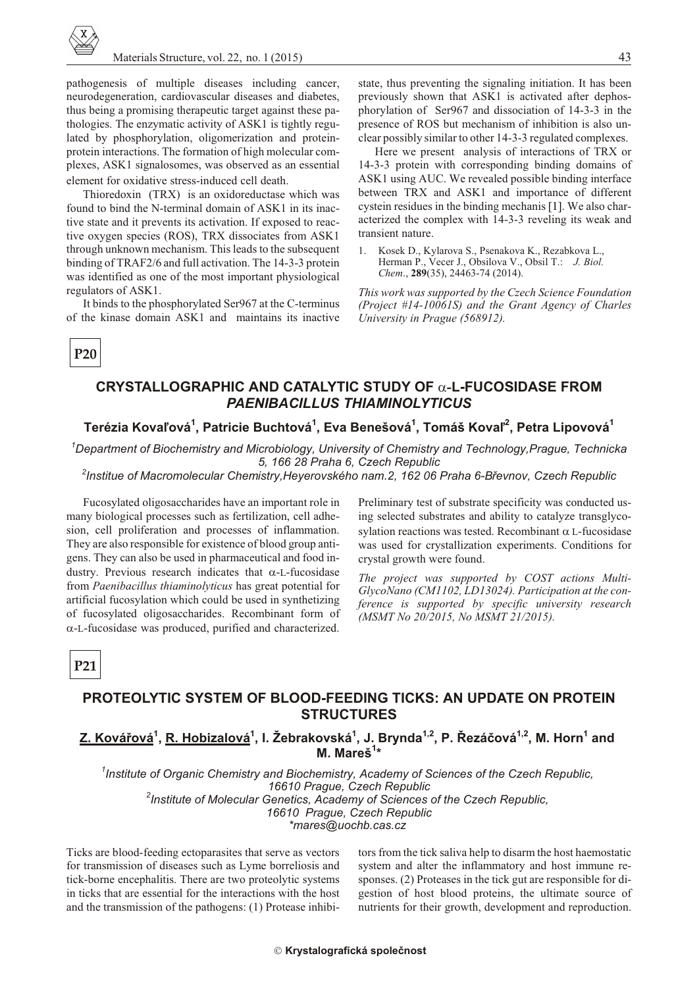pathogenesis of multiple diseases including cancer, neurodegeneration, cardiovascular diseases and diabetes, thus being a promising therapeutic target against these pathologies. The enzymatic activity of ASK1 is tightly regulated by phosphorylation, oligomerization and proteinprotein interactions. The formation of high molecular complexes, ASK1 signalosomes, was observed as an essential element for oxidative stress-induced cell death.

Thioredoxin (TRX) is an oxidoreductase which was found to bind the N-terminal domain of ASK1 in its inactive state and it prevents its activation. If exposed to reactive oxygen species (ROS), TRX dissociates from ASK1 through unknown mechanism. This leads to the subsequent binding of TRAF2/6 and full activation. The 14-3-3 protein was identified as one of the most important physiological regulators of ASK1.

It binds to the phosphorylated Ser967 at the C-terminus of the kinase domain ASK1 and maintains its inactive

state, thus preventing the signaling initiation. It has been previously shown that ASK1 is activated after dephosphorylation of Ser967 and dissociation of 14-3-3 in the presence of ROS but mechanism of inhibition is also unclear possibly similar to other 14-3-3 regulated complexes.

Here we present analysis of interactions of TRX or 14-3-3 protein with corresponding binding domains of ASK1 using AUC. We revealed possible binding interface between TRX and ASK1 and importance of different cystein residues in the binding mechanis [1]. We also characterized the complex with 14-3-3 reveling its weak and transient nature.

Kosek D., Kylarova S., Psenakova K., Rezabkova L.,  $\mathbf{1}$ . Herman P., Vecer J., Obsilova V., Obsil T.: J. Biol. Chem., 289(35), 24463-74 (2014).

This work was supported by the Czech Science Foundation (Project #14-10061S) and the Grant Agency of Charles University in Prague (568912).

# P<sub>20</sub>

## CRYSTALLOGRAPHIC AND CATALYTIC STUDY OF -L-FUCOSIDASE FROM **PAENIBACILLUS THIAMINOLYTICUS**

#### Terézia Kovaľová<sup>1</sup>, Patricie Buchtová<sup>1</sup>, Eva Benešová<sup>1</sup>, Tomáš Kovaľ<sup>2</sup>, Petra Lipovová<sup>1</sup>

 $^{\prime}$ Department of Biochemistry and Microbiology, University of Chemistry and Technology,Prague, Technicka 5, 166 28 Praha 6, Czech Republic

<sup>2</sup>Institue of Macromolecular Chemistry, Heyerovského nam. 2, 162 06 Praha 6-Břevnov, Czech Republic

Fucosylated oligosaccharides have an important role in many biological processes such as fertilization, cell adhesion, cell proliferation and processes of inflammation. They are also responsible for existence of blood group antigens. They can also be used in pharmaceutical and food industry. Previous research indicates that -L-fucosidase from Paenibacillus thiaminolyticus has great potential for artificial fucosylation which could be used in synthetizing of fucosylated oligosaccharides. Recombinant form of

-L-fucosidase was produced, purified and characterized.

Preliminary test of substrate specificity was conducted using selected substrates and ability to catalyze transglycosylation reactions was tested. Recombinant L-fucosidase was used for crystallization experiments. Conditions for crystal growth were found.

The project was supported by COST actions Multi-GlycoNano (CM1102, LD13024). Participation at the conference is supported by specific university research (MSMT No 20/2015, No MSMT 21/2015).

# P<sub>21</sub>

## **PROTEOLYTIC SYSTEM OF BLOOD-FEEDING TICKS: AN UPDATE ON PROTEIN STRUCTURES**

#### Z. Kovářová<sup>1</sup>, R. Hobizalová<sup>1</sup>, I. Žebrakovská<sup>1</sup>, J. Brynda<sup>1,2</sup>, P. Řezáčová<sup>1,2</sup>, M. Horn<sup>1</sup> and M. Mareš<sup>1\*</sup>

<sup>1</sup>Institute of Organic Chemistry and Biochemistry, Academy of Sciences of the Czech Republic, 16610 Prague, Czech Republic <sup>2</sup>Institute of Molecular Genetics, Academy of Sciences of the Czech Republic, 16610 Prague, Czech Republic \*mares@uochb.cas.cz

Ticks are blood-feeding ectoparasites that serve as vectors for transmission of diseases such as Lyme borreliosis and tick-borne encephalitis. There are two proteolytic systems in ticks that are essential for the interactions with the host and the transmission of the pathogens: (1) Protease inhibitors from the tick saliva help to disarm the host haemostatic system and alter the inflammatory and host immune responses. (2) Proteases in the tick gut are responsible for digestion of host blood proteins, the ultimate source of nutrients for their growth, development and reproduction.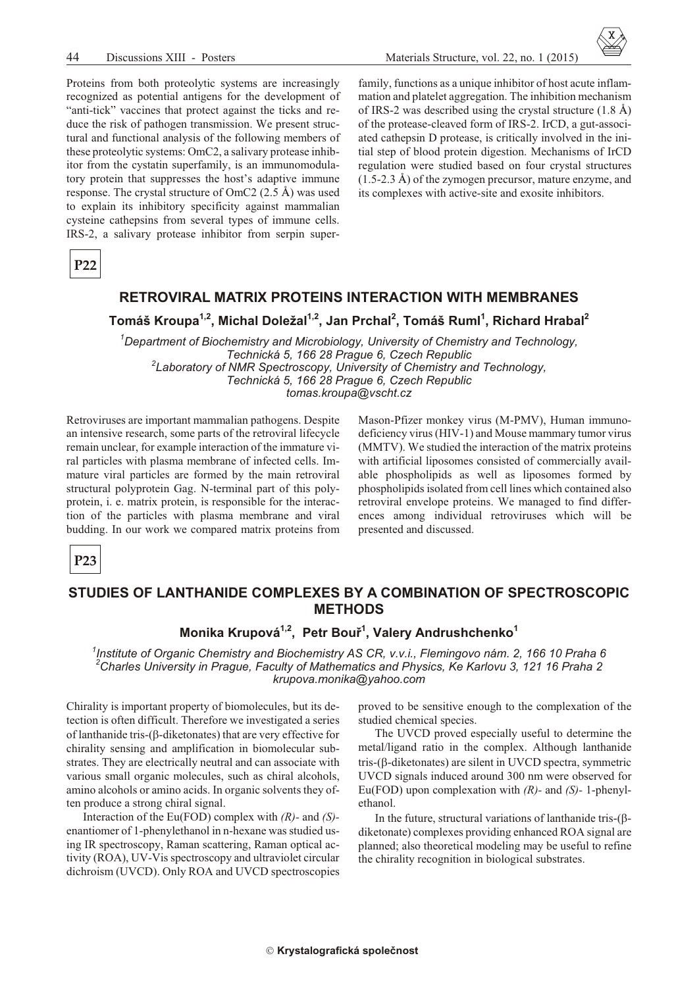Proteins from both proteolytic systems are increasingly recognized as potential antigens for the development of "anti-tick" vaccines that protect against the ticks and reduce the risk of pathogen transmission. We present structural and functional analysis of the following members of these proteolytic systems: OmC2, a salivary protease inhibitor from the cystatin superfamily, is an immunomodulatory protein that suppresses the host's adaptive immune response. The crystal structure of OmC2  $(2.5 \text{ Å})$  was used to explain its inhibitory specificity against mammalian cysteine cathepsins from several types of immune cells. IRS-2, a salivary protease inhibitor from serpin super-

family, functions as a unique inhibitor of host acute inflammation and platelet aggregation. The inhibition mechanism of IRS-2 was described using the crystal structure  $(1.8 \text{ Å})$ of the protease-cleaved form of IRS-2. IrCD, a gut-associated cathepsin D protease, is critically involved in the initial step of blood protein digestion. Mechanisms of IrCD regulation were studied based on four crystal structures  $(1.5-2.3 \text{ Å})$  of the zymogen precursor, mature enzyme, and its complexes with active-site and exosite inhibitors.

 $P22$ 

#### **RETROVIRAL MATRIX PROTEINS INTERACTION WITH MEMBRANES**

Tomáš Kroupa<sup>1,2</sup>, Michal Doležal<sup>1,2</sup>, Jan Prchal<sup>2</sup>, Tomáš Ruml<sup>1</sup>, Richard Hrabal<sup>2</sup>

 $^1$ Department of Biochemistry and Microbiology, University of Chemistry and Technology, Technická 5, 166 28 Praque 6, Czech Republic <sup>2</sup>Laboratory of NMR Spectroscopy, University of Chemistry and Technology, Technická 5, 166 28 Prague 6, Czech Republic tomas.kroupa@vscht.cz

Retroviruses are important mammalian pathogens. Despite an intensive research, some parts of the retroviral lifecycle remain unclear, for example interaction of the immature viral particles with plasma membrane of infected cells. Immature viral particles are formed by the main retroviral structural polyprotein Gag. N-terminal part of this polyprotein, i. e. matrix protein, is responsible for the interaction of the particles with plasma membrane and viral budding. In our work we compared matrix proteins from Mason-Pfizer monkey virus (M-PMV), Human immunodeficiency virus (HIV-1) and Mouse mammary tumor virus (MMTV). We studied the interaction of the matrix proteins with artificial liposomes consisted of commercially available phospholipids as well as liposomes formed by phospholipids isolated from cell lines which contained also retroviral envelope proteins. We managed to find differences among individual retroviruses which will be presented and discussed.

 $P23$ 

#### STUDIES OF LANTHANIDE COMPLEXES BY A COMBINATION OF SPECTROSCOPIC **METHODS**

#### Monika Krupová<sup>1,2</sup>, Petr Bouř<sup>1</sup>, Valery Andrushchenko<sup>1</sup>

Institute of Organic Chemistry and Biochemistry AS CR, v.v.i., Flemingovo nám. 2, 166 10 Praha 6  ${}^{2}$ Charles University in Prague, Faculty of Mathematics and Physics, Ke Karlovu 3, 121 16 Praha 2 krupova.monika@yahoo.com

Chirality is important property of biomolecules, but its detection is often difficult. Therefore we investigated a series of lanthanide tris-(-diketonates) that are very effective for chirality sensing and amplification in biomolecular substrates. They are electrically neutral and can associate with various small organic molecules, such as chiral alcohols, amino alcohols or amino acids. In organic solvents they often produce a strong chiral signal.

Interaction of the Eu(FOD) complex with  $(R)$ - and  $(S)$ enantiomer of 1-phenylethanol in n-hexane was studied using IR spectroscopy, Raman scattering, Raman optical activity (ROA), UV-Vis spectroscopy and ultraviolet circular dichroism (UVCD). Only ROA and UVCD spectroscopies proved to be sensitive enough to the complexation of the studied chemical species.

The UVCD proved especially useful to determine the metal/ligand ratio in the complex. Although lanthanide tris-(-diketonates) are silent in UVCD spectra, symmetric UVCD signals induced around 300 nm were observed for Eu(FOD) upon complexation with  $(R)$ - and  $(S)$ - 1-phenylethanol.

In the future, structural variations of lanthanide tris-( diketonate) complexes providing enhanced ROA signal are planned; also theoretical modeling may be useful to refine the chirality recognition in biological substrates.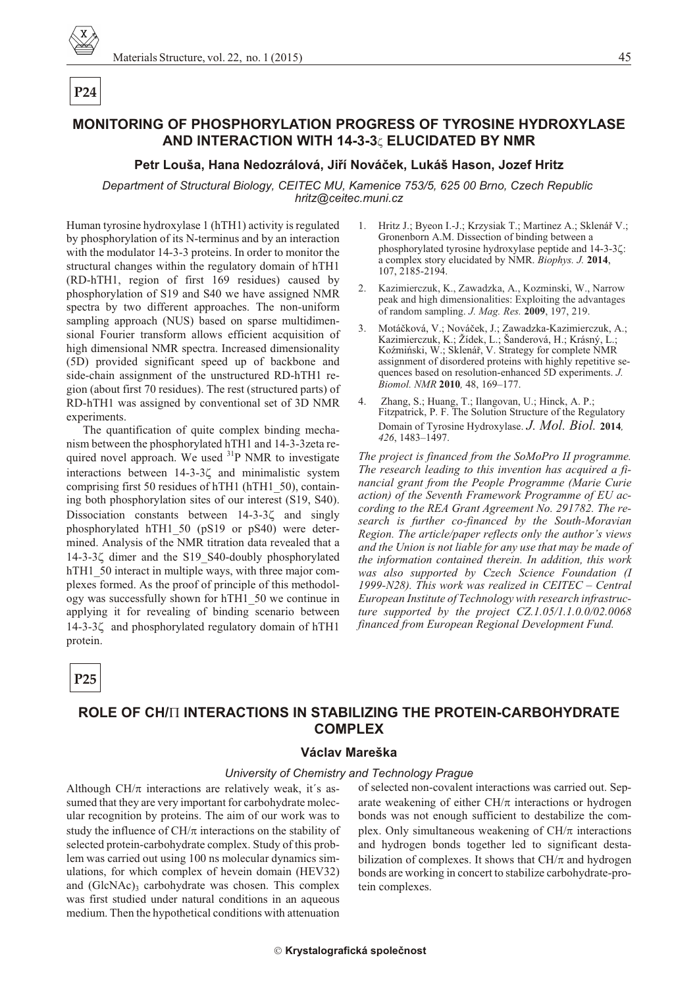# P<sub>24</sub>

# **MONITORING OF PHOSPHORYLATION PROGRESS OF TYROSINE HYDROXYLASE** AND INTERACTION WITH 14-3-3 ELUCIDATED BY NMR

#### Petr Louša, Hana Nedozrálová, Jiří Nováček, Lukáš Hason, Jozef Hritz

Department of Structural Biology, CEITEC MU, Kamenice 753/5, 625 00 Brno, Czech Republic hritz@ceitec.muni.cz

Human tyrosine hydroxylase 1 (hTH1) activity is regulated by phosphorylation of its N-terminus and by an interaction with the modulator 14-3-3 proteins. In order to monitor the structural changes within the regulatory domain of hTH1 (RD-hTH1, region of first 169 residues) caused by phosphorylation of S19 and S40 we have assigned NMR spectra by two different approaches. The non-uniform sampling approach (NUS) based on sparse multidimensional Fourier transform allows efficient acquisition of high dimensional NMR spectra. Increased dimensionality (5D) provided significant speed up of backbone and side-chain assignment of the unstructured RD-hTH1 region (about first 70 residues). The rest (structured parts) of RD-hTH1 was assigned by conventional set of 3D NMR experiments.

The quantification of quite complex binding mechanism between the phosphorylated hTH1 and 14-3-3zeta required novel approach. We used  $3^{1}P$  NMR to investigate interactions between 14-3-3 and minimalistic system comprising first 50 residues of hTH1 (hTH1 50), containing both phosphorylation sites of our interest (S19, S40). Dissociation constants between 14-3-3 and singly phosphorylated hTH1 50 (pS19 or pS40) were determined. Analysis of the NMR titration data revealed that a 14-3-3 dimer and the S19 S40-doubly phosphorylated hTH1 50 interact in multiple ways, with three major complexes formed. As the proof of principle of this methodology was successfully shown for hTH1 50 we continue in applying it for revealing of binding scenario between 14-3-3 and phosphorylated regulatory domain of hTH1 protein.

1. Hritz J.; Byeon I.-J.; Krzysiak T.; Martinez A.; Sklenář V.; Gronenborn A.M. Dissection of binding between a phosphorylated tyrosine hydroxylase peptide and 14-3-3 : a complex story elucidated by NMR. Biophys. J. 2014, 107, 2185-2194.

- 2. Kazimierczuk, K., Zawadzka, A., Kozminski, W., Narrow peak and high dimensionalities: Exploiting the advantages of random sampling. J. Mag. Res. 2009, 197, 219.
- $3.$ Motáčková, V.; Nováček, J.; Zawadzka-Kazimierczuk, A.; Kazimierczuk, K.; Žídek, L.; Šanderová, H.; Krásný, L.; Koźmiński, W.; Sklenář, V. Strategy for complete NMR assignment of disordered proteins with highly repetitive sequences based on resolution-enhanced 5D experiments. J. Biomol. NMR 2010, 48, 169-177.
- Zhang, S.; Huang, T.; Ilangovan, U.; Hinck, A. P.;  $4<sup>1</sup>$ Fitzpatrick, P. F. The Solution Structure of the Regulatory Domain of Tyrosine Hydroxylase. J. Mol. Biol. 2014, 426, 1483-1497.

The project is financed from the SoMoPro II programme. The research leading to this invention has acquired a financial grant from the People Programme (Marie Curie action) of the Seventh Framework Programme of EU according to the REA Grant Agreement No. 291782. The research is further co-financed by the South-Moravian Region. The article/paper reflects only the author's views and the Union is not liable for any use that may be made of the information contained therein. In addition, this work was also supported by Czech Science Foundation (I 1999-N28). This work was realized in CEITEC - Central European Institute of Technology with research infrastructure supported by the project  $CZ.1.05/1.1.0.0/02.0068$ financed from European Regional Development Fund.

 $P<sub>25</sub>$ 

## ROLE OF CH/ INTERACTIONS IN STABILIZING THE PROTEIN-CARBOHYDRATE **COMPLEX**

#### Václav Mareška

#### University of Chemistry and Technology Prague

Although CH/ interactions are relatively weak, it's assumed that they are very important for carbohydrate molecular recognition by proteins. The aim of our work was to study the influence of CH/ interactions on the stability of selected protein-carbohydrate complex. Study of this problem was carried out using 100 ns molecular dynamics simulations, for which complex of hevein domain (HEV32) and (GlcNAc)<sub>3</sub> carbohydrate was chosen. This complex was first studied under natural conditions in an aqueous medium. Then the hypothetical conditions with attenuation

of selected non-covalent interactions was carried out. Separate weakening of either CH/ interactions or hydrogen bonds was not enough sufficient to destabilize the complex. Only simultaneous weakening of CH/ interactions and hydrogen bonds together led to significant destabilization of complexes. It shows that CH/ and hydrogen bonds are working in concert to stabilize carbohydrate-protein complexes.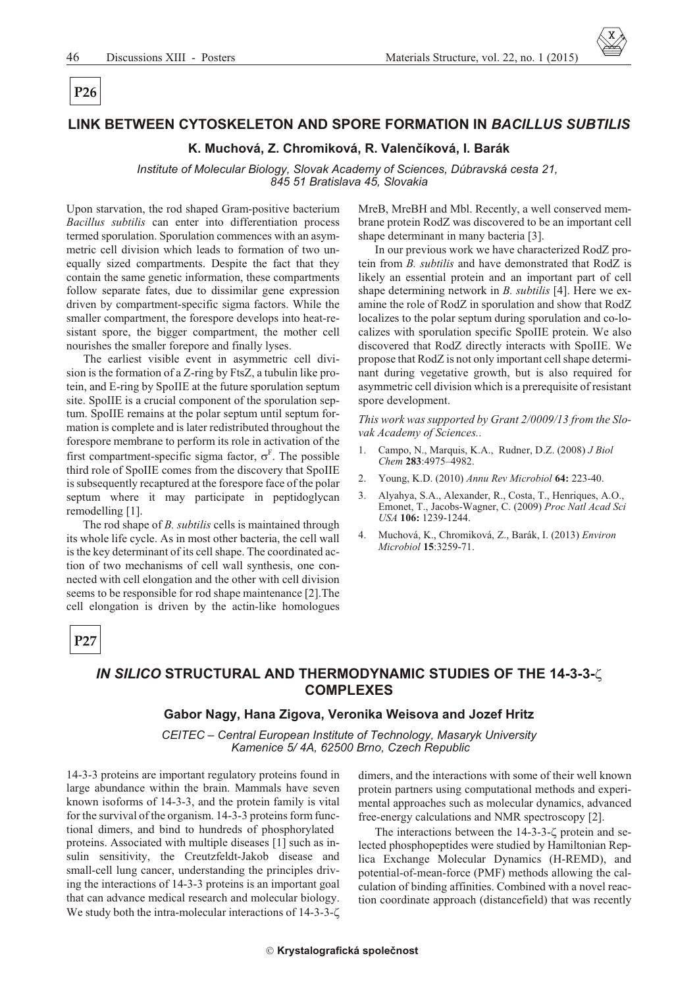# P<sub>26</sub>

#### LINK BETWEEN CYTOSKELETON AND SPORE FORMATION IN BACILLUS SUBTILIS

#### K. Muchová, Z. Chromiková, R. Valenčíková, I. Barák

Institute of Molecular Biology, Slovak Academy of Sciences, Dúbravská cesta 21, 845 51 Bratislava 45, Slovakia

Upon starvation, the rod shaped Gram-positive bacterium Bacillus subtilis can enter into differentiation process termed sporulation. Sporulation commences with an asymmetric cell division which leads to formation of two unequally sized compartments. Despite the fact that they contain the same genetic information, these compartments follow separate fates, due to dissimilar gene expression driven by compartment-specific sigma factors. While the smaller compartment, the forespore develops into heat-resistant spore, the bigger compartment, the mother cell nourishes the smaller forepore and finally lyses.

The earliest visible event in asymmetric cell division is the formation of a Z-ring by FtsZ, a tubulin like protein, and E-ring by SpoIIE at the future sporulation septum site. SpoIIE is a crucial component of the sporulation septum. SpoIIE remains at the polar septum until septum formation is complete and is later redistributed throughout the forespore membrane to perform its role in activation of the first compartment-specific sigma factor,  $F$ . The possible third role of SpoIIE comes from the discovery that SpoIIE is subsequently recaptured at the forespore face of the polar septum where it may participate in peptidoglycan remodelling [1].

The rod shape of *B. subtilis* cells is maintained through its whole life cycle. As in most other bacteria, the cell wall is the key determinant of its cell shape. The coordinated action of two mechanisms of cell wall synthesis, one connected with cell elongation and the other with cell division seems to be responsible for rod shape maintenance [2]. The cell elongation is driven by the actin-like homologues

MreB, MreBH and Mbl. Recently, a well conserved membrane protein RodZ was discovered to be an important cell shape determinant in many bacteria [3].

In our previous work we have characterized RodZ protein from *B. subtilis* and have demonstrated that RodZ is likely an essential protein and an important part of cell shape determining network in *B. subtilis* [4]. Here we examine the role of RodZ in sporulation and show that RodZ localizes to the polar septum during sporulation and co-localizes with sporulation specific SpoIIE protein. We also discovered that RodZ directly interacts with SpoIIE. We propose that RodZ is not only important cell shape determinant during vegetative growth, but is also required for asymmetric cell division which is a prerequisite of resistant spore development.

This work was supported by Grant 2/0009/13 from the Slovak Academy of Sciences.

- Campo, N., Marquis, K.A., Rudner, D.Z. (2008) J Biol Chem 283:4975-4982.
- 2. Young, K.D. (2010) Annu Rev Microbiol 64: 223-40.
- $3.$ Alyahya, S.A., Alexander, R., Costa, T., Henriques, A.O., Emonet, T., Jacobs-Wagner, C. (2009) Proc Natl Acad Sci USA 106: 1239-1244.
- $\overline{4}$ Muchová, K., Chromiková, Z., Barák, I. (2013) Environ Microbiol 15:3259-71.

 $P27$ 

#### IN SILICO STRUCTURAL AND THERMODYNAMIC STUDIES OF THE 14-3-3-**COMPLEXES**

#### Gabor Nagy, Hana Zigova, Veronika Weisova and Jozef Hritz

CEITEC - Central European Institute of Technology, Masaryk University Kamenice 5/4A, 62500 Brno, Czech Republic

14-3-3 proteins are important regulatory proteins found in large abundance within the brain. Mammals have seven known isoforms of 14-3-3, and the protein family is vital for the survival of the organism. 14-3-3 proteins form functional dimers, and bind to hundreds of phosphorylated proteins. Associated with multiple diseases [1] such as insulin sensitivity, the Creutzfeldt-Jakob disease and small-cell lung cancer, understanding the principles driving the interactions of 14-3-3 proteins is an important goal that can advance medical research and molecular biology. We study both the intra-molecular interactions of 14-3-3-

dimers, and the interactions with some of their well known protein partners using computational methods and experimental approaches such as molecular dynamics, advanced free-energy calculations and NMR spectroscopy [2].

The interactions between the 14-3-3- protein and selected phosphopeptides were studied by Hamiltonian Replica Exchange Molecular Dynamics (H-REMD), and potential-of-mean-force (PMF) methods allowing the calculation of binding affinities. Combined with a novel reaction coordinate approach (distancefield) that was recently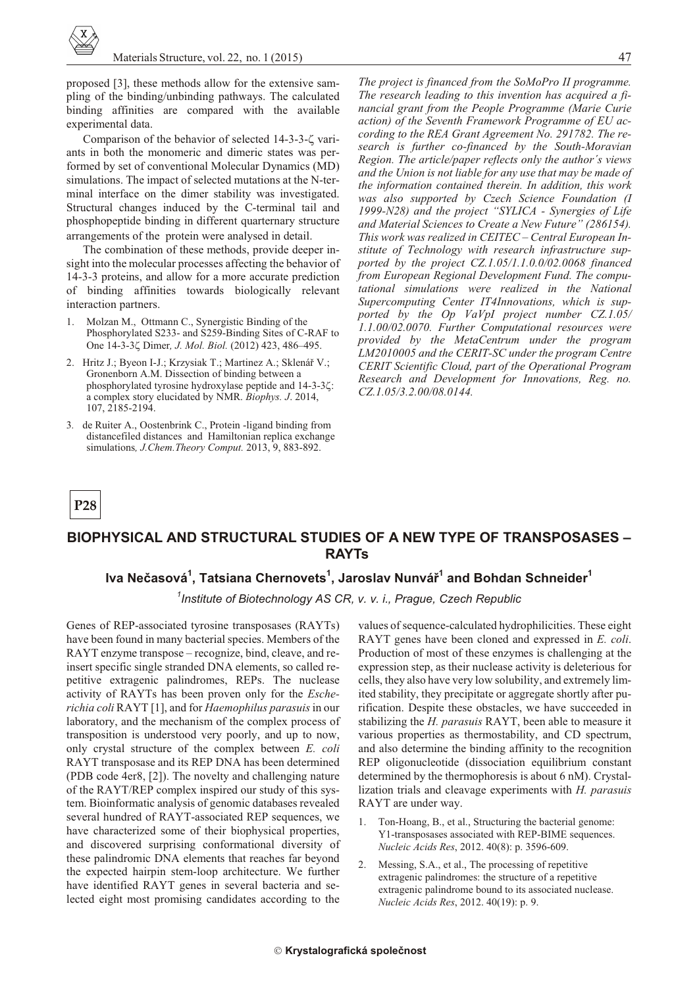proposed [3], these methods allow for the extensive sampling of the binding/unbinding pathways. The calculated binding affinities are compared with the available experimental data.

Comparison of the behavior of selected 14-3-3- variants in both the monomeric and dimeric states was performed by set of conventional Molecular Dynamics (MD) simulations. The impact of selected mutations at the N-terminal interface on the dimer stability was investigated. Structural changes induced by the C-terminal tail and phosphopeptide binding in different quarternary structure arrangements of the protein were analysed in detail.

The combination of these methods, provide deeper insight into the molecular processes affecting the behavior of 14-3-3 proteins, and allow for a more accurate prediction of binding affinities towards biologically relevant interaction partners.

- Molzan M., Ottmann C., Synergistic Binding of the Phosphorylated S233- and S259-Binding Sites of C-RAF to One 14-3-3 Dimer, J. Mol. Biol. (2012) 423, 486-495.
- 2. Hritz J.; Byeon I-J.; Krzysiak T.; Martinez A.; Sklenář V.; Gronenborn A.M. Dissection of binding between a phosphorylated tyrosine hydroxylase peptide and 14-3-3 : a complex story elucidated by NMR. Biophys. J. 2014, 107.2185-2194.
- 3. de Ruiter A., Oostenbrink C., Protein -ligand binding from distancefiled distances and Hamiltonian replica exchange simulations, J.Chem.Theory Comput. 2013, 9, 883-892.

The project is financed from the SoMoPro II programme. The research leading to this invention has acquired a financial grant from the People Programme (Marie Curie action) of the Seventh Framework Programme of EU according to the REA Grant Agreement No. 291782. The research is further co-financed by the South-Moravian Region. The article/paper reflects only the author's views and the Union is not liable for any use that may be made of the information contained therein. In addition, this work was also supported by Czech Science Foundation (I 1999-N28) and the project "SYLICA - Synergies of Life and Material Sciences to Create a New Future" (286154). This work was realized in CEITEC - Central European Institute of Technology with research infrastructure supported by the project CZ.1.05/1.1.0.0/02.0068 financed from European Regional Development Fund. The computational simulations were realized in the National Supercomputing Center IT4Innovations, which is supported by the Op VaVpI project number CZ.1.05/ 1.1.00/02.0070. Further Computational resources were provided by the MetaCentrum under the program LM2010005 and the CERIT-SC under the program Centre CERIT Scientific Cloud, part of the Operational Program Research and Development for Innovations, Reg. no. CZ.1.05/3.2.00/08.0144.

P<sub>28</sub>

# BIOPHYSICAL AND STRUCTURAL STUDIES OF A NEW TYPE OF TRANSPOSASES -**RAYTs**

#### Iva Nečasová<sup>1</sup>, Tatsiana Chernovets<sup>1</sup>, Jaroslav Nunvář<sup>1</sup> and Bohdan Schneider<sup>1</sup>

<sup>1</sup>Institute of Biotechnology AS CR, v. v. i., Prague, Czech Republic

Genes of REP-associated tyrosine transposases (RAYTs) have been found in many bacterial species. Members of the RAYT enzyme transpose – recognize, bind, cleave, and reinsert specific single stranded DNA elements, so called repetitive extragenic palindromes, REPs. The nuclease activity of RAYTs has been proven only for the *Esche*richia coli RAYT [1], and for Haemophilus parasuis in our laboratory, and the mechanism of the complex process of transposition is understood very poorly, and up to now, only crystal structure of the complex between E. coli RAYT transposase and its REP DNA has been determined (PDB code 4er8, [2]). The novelty and challenging nature of the RAYT/REP complex inspired our study of this system. Bioinformatic analysis of genomic databases revealed several hundred of RAYT-associated REP sequences, we have characterized some of their biophysical properties, and discovered surprising conformational diversity of these palindromic DNA elements that reaches far beyond the expected hairpin stem-loop architecture. We further have identified RAYT genes in several bacteria and selected eight most promising candidates according to the

values of sequence-calculated hydrophilicities. These eight RAYT genes have been cloned and expressed in E. coli. Production of most of these enzymes is challenging at the expression step, as their nuclease activity is deleterious for cells, they also have very low solubility, and extremely limited stability, they precipitate or aggregate shortly after purification. Despite these obstacles, we have succeeded in stabilizing the H. parasuis RAYT, been able to measure it various properties as thermostability, and CD spectrum, and also determine the binding affinity to the recognition REP oligonucleotide (dissociation equilibrium constant determined by the thermophoresis is about 6 nM). Crystallization trials and cleavage experiments with H. parasuis RAYT are under way.

- Ton-Hoang, B., et al., Structuring the bacterial genome: Y1-transposases associated with REP-BIME sequences. Nucleic Acids Res, 2012. 40(8): p. 3596-609.
- $2.$ Messing, S.A., et al., The processing of repetitive extragenic palindromes: the structure of a repetitive extragenic palindrome bound to its associated nuclease. Nucleic Acids Res, 2012. 40(19): p. 9.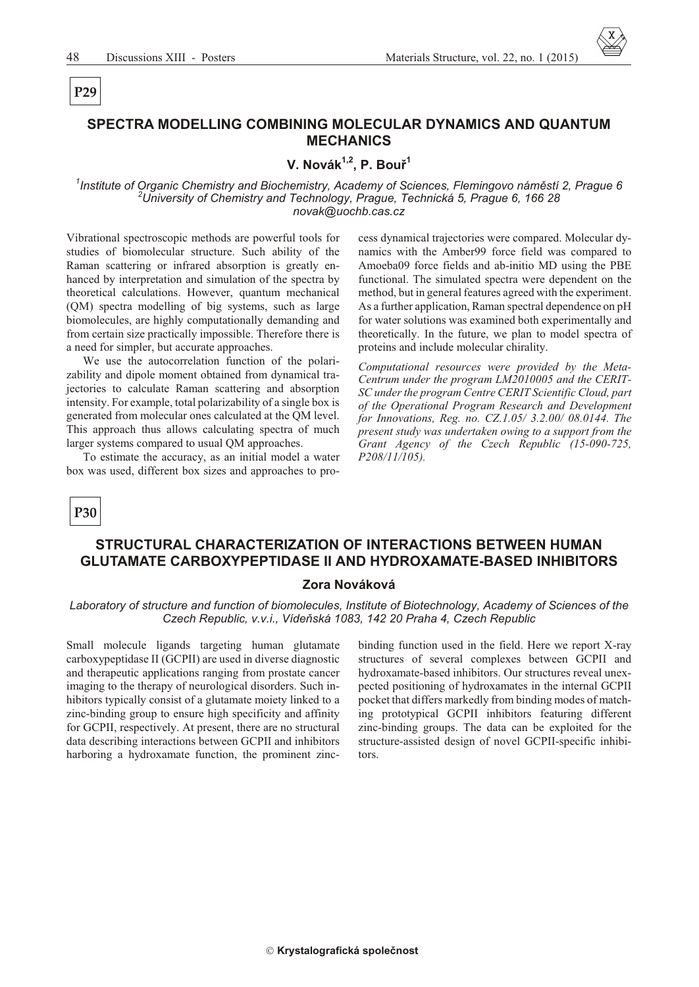# P<sub>29</sub>

#### SPECTRA MODELLING COMBINING MOLECULAR DYNAMICS AND QUANTUM **MECHANICS**

# V. Novák<sup>1,2</sup>, P. Bouř<sup>1</sup>

<sup>1</sup>Institute of Organic Chemistry and Biochemistry, Academy of Sciences, Flemingovo náměstí 2, Prague 6 <sup>2</sup>University of Chemistry and Technology, Prague, Technická 5, Prague 6, 166 28 novak@uochb.cas.cz

Vibrational spectroscopic methods are powerful tools for studies of biomolecular structure. Such ability of the Raman scattering or infrared absorption is greatly enhanced by interpretation and simulation of the spectra by theoretical calculations. However, quantum mechanical (QM) spectra modelling of big systems, such as large biomolecules, are highly computationally demanding and from certain size practically impossible. Therefore there is a need for simpler, but accurate approaches.

We use the autocorrelation function of the polarizability and dipole moment obtained from dynamical trajectories to calculate Raman scattering and absorption intensity. For example, total polarizability of a single box is generated from molecular ones calculated at the QM level. This approach thus allows calculating spectra of much larger systems compared to usual QM approaches.

To estimate the accuracy, as an initial model a water box was used, different box sizes and approaches to process dynamical trajectories were compared. Molecular dynamics with the Amber99 force field was compared to Amoeba09 force fields and ab-initio MD using the PBE functional. The simulated spectra were dependent on the method, but in general features agreed with the experiment. As a further application, Raman spectral dependence on pH for water solutions was examined both experimentally and theoretically. In the future, we plan to model spectra of proteins and include molecular chirality.

Computational resources were provided by the Meta-Centrum under the program LM2010005 and the CERIT-SC under the program Centre CERIT Scientific Cloud, part of the Operational Program Research and Development for Innovations, Reg. no. CZ.1.05/3.2.00/08.0144. The present study was undertaken owing to a support from the Grant Agency of the Czech Republic (15-090-725,  $P208/11/105$ ).



## STRUCTURAL CHARACTERIZATION OF INTERACTIONS BETWEEN HUMAN **GLUTAMATE CARBOXYPEPTIDASE II AND HYDROXAMATE-BASED INHIBITORS**

#### Zora Nováková

Laboratory of structure and function of biomolecules, Institute of Biotechnology, Academy of Sciences of the Czech Republic, v.v.i., Vídeňská 1083, 142 20 Praha 4, Czech Republic

Small molecule ligands targeting human glutamate carboxypeptidase II (GCPII) are used in diverse diagnostic and therapeutic applications ranging from prostate cancer imaging to the therapy of neurological disorders. Such inhibitors typically consist of a glutamate moiety linked to a zinc-binding group to ensure high specificity and affinity for GCPII, respectively. At present, there are no structural data describing interactions between GCPII and inhibitors harboring a hydroxamate function, the prominent zincbinding function used in the field. Here we report X-ray structures of several complexes between GCPII and hydroxamate-based inhibitors. Our structures reveal unexpected positioning of hydroxamates in the internal GCPII pocket that differs markedly from binding modes of matching prototypical GCPII inhibitors featuring different zinc-binding groups. The data can be exploited for the structure-assisted design of novel GCPII-specific inhibitors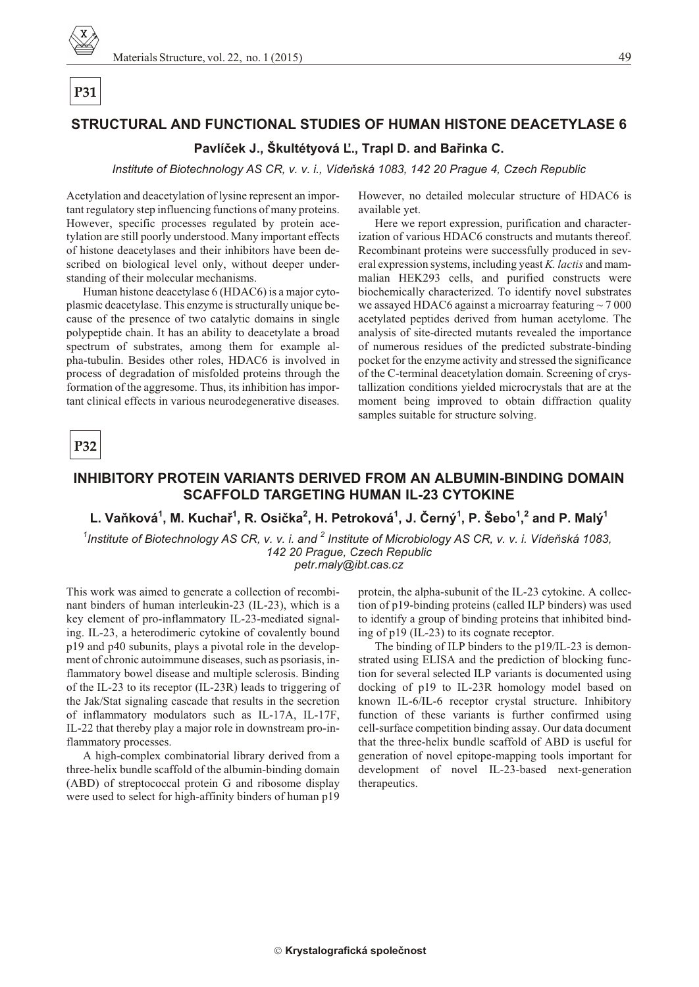

#### STRUCTURAL AND FUNCTIONAL STUDIES OF HUMAN HISTONE DEACETYLASE 6

#### Pavlíček J., Škultétyová Ľ., Trapl D. and Bařinka C.

Institute of Biotechnology AS CR, v. v. i., Vídeňská 1083, 142 20 Prague 4, Czech Republic

Acetylation and deacetylation of lysine represent an important regulatory step influencing functions of many proteins. However, specific processes regulated by protein acetylation are still poorly understood. Many important effects of histone deacetylases and their inhibitors have been described on biological level only, without deeper understanding of their molecular mechanisms.

Human histone deacetylase 6 (HDAC6) is a major cytoplasmic deacetylase. This enzyme is structurally unique because of the presence of two catalytic domains in single polypeptide chain. It has an ability to deacetylate a broad spectrum of substrates, among them for example alpha-tubulin. Besides other roles, HDAC6 is involved in process of degradation of misfolded proteins through the formation of the aggresome. Thus, its inhibition has important clinical effects in various neurodegenerative diseases. However, no detailed molecular structure of HDAC6 is available yet.

Here we report expression, purification and characterization of various HDAC6 constructs and mutants thereof. Recombinant proteins were successfully produced in several expression systems, including yeast K. lactis and mammalian HEK293 cells, and purified constructs were biochemically characterized. To identify novel substrates we assayed HDAC6 against a microarray featuring  $\sim$  7 000 acetylated peptides derived from human acetylome. The analysis of site-directed mutants revealed the importance of numerous residues of the predicted substrate-binding pocket for the enzyme activity and stressed the significance of the C-terminal deacetylation domain. Screening of crystallization conditions yielded microcrystals that are at the moment being improved to obtain diffraction quality samples suitable for structure solving.

**P32** 

#### INHIBITORY PROTEIN VARIANTS DERIVED FROM AN ALBUMIN-BINDING DOMAIN **SCAFFOLD TARGETING HUMAN IL-23 CYTOKINE**

#### L. Vaňková<sup>1</sup>, M. Kuchař<sup>1</sup>, R. Osička<sup>2</sup>, H. Petroková<sup>1</sup>, J. Černý<sup>1</sup>, P. Šebo<sup>1</sup>,<sup>2</sup> and P. Malý<sup>1</sup>

<sup>1</sup>Institute of Biotechnology AS CR, v. v. i. and <sup>2</sup> Institute of Microbiology AS CR, v. v. i. Vídeňská 1083, 142 20 Prague, Czech Republic petr.maly@ibt.cas.cz

This work was aimed to generate a collection of recombinant binders of human interleukin-23 (IL-23), which is a key element of pro-inflammatory IL-23-mediated signaling. IL-23, a heterodimeric cytokine of covalently bound p19 and p40 subunits, plays a pivotal role in the development of chronic autoimmune diseases, such as psoriasis, inflammatory bowel disease and multiple sclerosis. Binding of the IL-23 to its receptor (IL-23R) leads to triggering of the Jak/Stat signaling cascade that results in the secretion of inflammatory modulators such as IL-17A, IL-17F, IL-22 that thereby play a major role in downstream pro-inflammatory processes.

A high-complex combinatorial library derived from a three-helix bundle scaffold of the albumin-binding domain (ABD) of streptococcal protein G and ribosome display were used to select for high-affinity binders of human p19 protein, the alpha-subunit of the IL-23 cytokine. A collection of p19-binding proteins (called ILP binders) was used to identify a group of binding proteins that inhibited binding of p19 (IL-23) to its cognate receptor.

The binding of ILP binders to the p19/IL-23 is demonstrated using ELISA and the prediction of blocking function for several selected ILP variants is documented using docking of p19 to IL-23R homology model based on known IL-6/IL-6 receptor crystal structure. Inhibitory function of these variants is further confirmed using cell-surface competition binding assay. Our data document that the three-helix bundle scaffold of ABD is useful for generation of novel epitope-mapping tools important for development of novel IL-23-based next-generation therapeutics.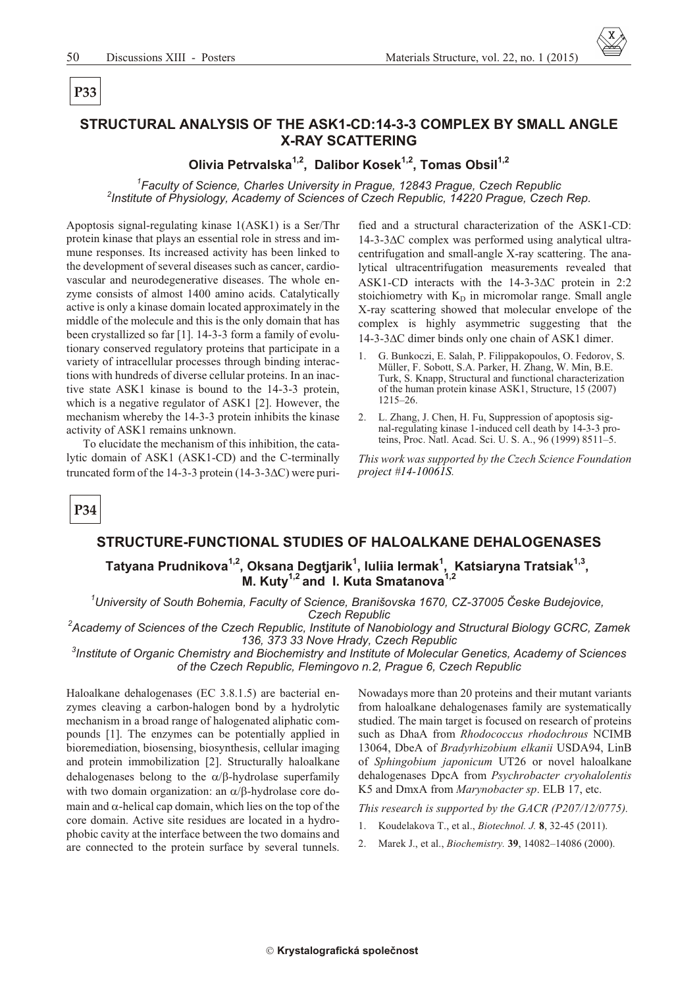# P<sub>33</sub>

## STRUCTURAL ANALYSIS OF THE ASK1-CD:14-3-3 COMPLEX BY SMALL ANGLE **X-RAY SCATTERING**

# Olivia Petrvalska<sup>1,2</sup>, Dalibor Kosek<sup>1,2</sup>, Tomas Obsil<sup>1,2</sup>

<sup>1</sup>Faculty of Science, Charles University in Prague, 12843 Prague, Czech Republic <sup>2</sup>Institute of Physiology, Academy of Sciences of Czech Republic, 14220 Prague, Czech Rep.

Apoptosis signal-regulating kinase 1(ASK1) is a Ser/Thr protein kinase that plays an essential role in stress and immune responses. Its increased activity has been linked to the development of several diseases such as cancer, cardiovascular and neurodegenerative diseases. The whole enzyme consists of almost 1400 amino acids. Catalytically active is only a kinase domain located approximately in the middle of the molecule and this is the only domain that has been crystallized so far [1]. 14-3-3 form a family of evolutionary conserved regulatory proteins that participate in a variety of intracellular processes through binding interactions with hundreds of diverse cellular proteins. In an inactive state ASK1 kinase is bound to the 14-3-3 protein, which is a negative regulator of ASK1 [2]. However, the mechanism whereby the 14-3-3 protein inhibits the kinase activity of ASK1 remains unknown.

To elucidate the mechanism of this inhibition, the catalytic domain of ASK1 (ASK1-CD) and the C-terminally truncated form of the 14-3-3 protein  $(14-3-3)$  C) were purified and a structural characterization of the ASK1-CD: 14-3-3 C complex was performed using analytical ultracentrifugation and small-angle X-ray scattering. The analytical ultracentrifugation measurements revealed that ASK1-CD interacts with the 14-3-3 C protein in 2:2 stoichiometry with K<sub>D</sub> in micromolar range. Small angle X-ray scattering showed that molecular envelope of the complex is highly asymmetric suggesting that the 14-3-3 C dimer binds only one chain of ASK1 dimer.

- G. Bunkoczi, E. Salah, P. Filippakopoulos, O. Fedorov, S.  $\mathbf{1}$ Müller, F. Sobott, S.A. Parker, H. Zhang, W. Min, B.E. Turk, S. Knapp, Structural and functional characterization of the human protein kinase ASK1, Structure, 15 (2007)  $1215 - 26.$
- $2.$ L. Zhang, J. Chen, H. Fu, Suppression of apoptosis signal-regulating kinase 1-induced cell death by 14-3-3 proteins, Proc. Natl. Acad. Sci. U. S. A., 96 (1999) 8511-5.

This work was supported by the Czech Science Foundation project #14-10061S.



#### STRUCTURE-FUNCTIONAL STUDIES OF HALOALKANE DEHALOGENASES

Tatyana Prudnikova<sup>1,2</sup>, Oksana Degtjarik<sup>1</sup>, Iuliia Iermak<sup>1</sup>, Katsiaryna Tratsiak<sup>1,3</sup>,<br>M. Kuty<sup>1,2</sup> and I. Kuta Smatanova<sup>1,2</sup>

<sup>1</sup>University of South Bohemia, Faculty of Science, Branišovska 1670, CZ-37005 Česke Budejovice, **Czech Republic** 

<sup>2</sup>Academy of Sciences of the Czech Republic, Institute of Nanobiology and Structural Biology GCRC, Zamek 136, 373 33 Nove Hrady, Czech Republic

<sup>3</sup>Institute of Organic Chemistry and Biochemistry and Institute of Molecular Genetics, Academy of Sciences of the Czech Republic, Flemingovo n.2, Prague 6, Czech Republic

Haloalkane dehalogenases (EC 3.8.1.5) are bacterial enzymes cleaving a carbon-halogen bond by a hydrolytic mechanism in a broad range of halogenated aliphatic compounds [1]. The enzymes can be potentially applied in bioremediation, biosensing, biosynthesis, cellular imaging and protein immobilization [2]. Structurally haloalkane dehalogenases belong to the / -hydrolase superfamily with two domain organization: an -hydrolase core domain and -helical cap domain, which lies on the top of the core domain. Active site residues are located in a hydrophobic cavity at the interface between the two domains and are connected to the protein surface by several tunnels. Nowadays more than 20 proteins and their mutant variants from haloalkane dehalogenases family are systematically studied. The main target is focused on research of proteins such as DhaA from Rhodococcus rhodochrous NCIMB 13064, DbeA of Bradyrhizobium elkanii USDA94, LinB of Sphingobium japonicum UT26 or novel haloalkane dehalogenases DpcA from Psychrobacter cryohalolentis K5 and DmxA from Marynobacter sp. ELB 17, etc.

This research is supported by the GACR (P207/12/0775).

- $\mathbf{1}$ Koudelakova T., et al., *Biotechnol. J.* 8, 32-45 (2011).
- 2. Marek J., et al., *Biochemistry*. **39**, 14082-14086 (2000).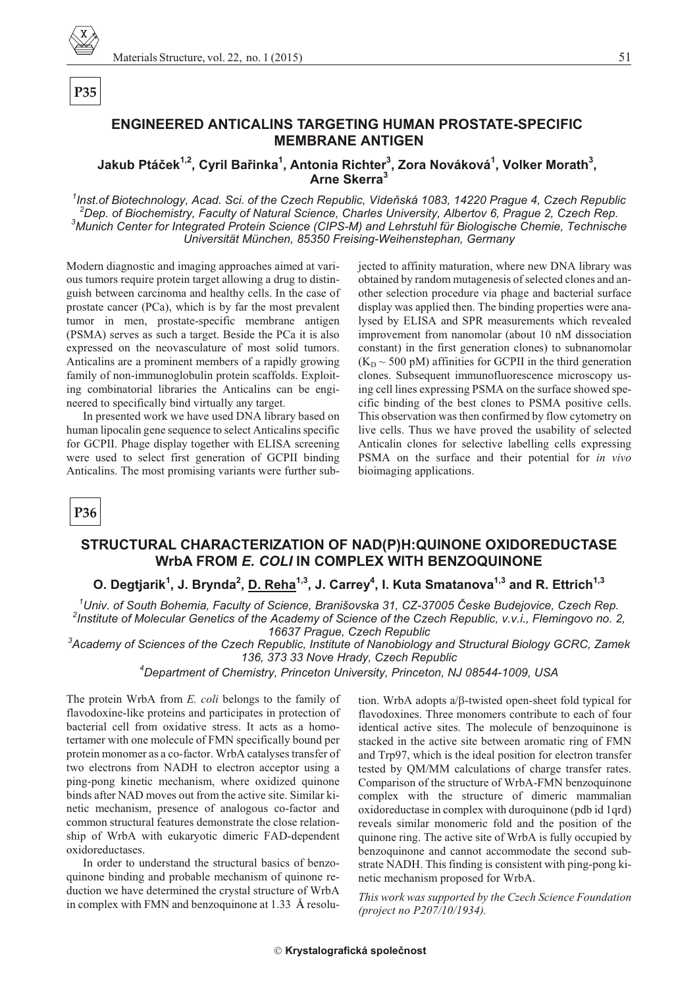

# P<sub>35</sub>

#### **ENGINEERED ANTICALINS TARGETING HUMAN PROSTATE-SPECIFIC MEMBRANE ANTIGEN**

## Jakub Ptáček<sup>1,2</sup>, Cyril Bařinka<sup>1</sup>, Antonia Richter<sup>3</sup>, Zora Nováková<sup>1</sup>, Volker Morath<sup>3</sup>, Arne Skerra<sup>3</sup>

Inst of Biotechnology, Acad, Sci, of the Czech Republic, Vídeňská 1083, 14220 Prague 4, Czech Republic <sup>2</sup>Dep. of Biochemistry. Faculty of Natural Science. Charles University. Albertoy 6. Prague 2. Czech Rep. <sup>3</sup>Munich Center for Integrated Protein Science (CIPS-M) and Lehrstuhl für Biologische Chemie, Technische Universität München, 85350 Freising-Weihenstephan, Germany

Modern diagnostic and imaging approaches aimed at various tumors require protein target allowing a drug to distinguish between carcinoma and healthy cells. In the case of prostate cancer (PCa), which is by far the most prevalent tumor in men, prostate-specific membrane antigen (PSMA) serves as such a target. Beside the PCa it is also expressed on the neovasculature of most solid tumors. Anticalins are a prominent members of a rapidly growing family of non-immunoglobulin protein scaffolds. Exploiting combinatorial libraries the Anticalins can be engineered to specifically bind virtually any target.

In presented work we have used DNA library based on human lipocalin gene sequence to select Anticalins specific for GCPII. Phage display together with ELISA screening were used to select first generation of GCPII binding Anticalins. The most promising variants were further subjected to affinity maturation, where new DNA library was obtained by random mutagenesis of selected clones and another selection procedure via phage and bacterial surface display was applied then. The binding properties were analysed by ELISA and SPR measurements which revealed improvement from nanomolar (about 10 nM dissociation constant) in the first generation clones) to subnanomolar  $(K_D \sim 500 \text{ pM})$  affinities for GCPII in the third generation clones. Subsequent immunofluorescence microscopy using cell lines expressing PSMA on the surface showed specific binding of the best clones to PSMA positive cells. This observation was then confirmed by flow cytometry on live cells. Thus we have proved the usability of selected Anticalin clones for selective labelling cells expressing PSMA on the surface and their potential for in vivo bioimaging applications.

P<sub>36</sub>

#### STRUCTURAL CHARACTERIZATION OF NAD(P)H:QUINONE OXIDOREDUCTASE WrbA FROM E. COLI IN COMPLEX WITH BENZOQUINONE

#### O. Degtjarik<sup>1</sup>, J. Brynda<sup>2</sup>, D. Reha<sup>1,3</sup>, J. Carrey<sup>4</sup>, I. Kuta Smatanova<sup>1,3</sup> and R. Ettrich<sup>1,3</sup>

<sup>1</sup>Univ. of South Bohemia, Faculty of Science, Branišovska 31, CZ-37005 Česke Budejovice, Czech Rep. <sup>2</sup>Institute of Molecular Genetics of the Academy of Science of the Czech Republic, v.v.i., Flemingovo no. 2, 16637 Prague, Czech Republic

<sup>3</sup>Academy of Sciences of the Czech Republic, Institute of Nanobiology and Structural Biology GCRC, Zamek 136, 373 33 Nove Hrady, Czech Republic

<sup>4</sup>Department of Chemistry, Princeton University, Princeton, NJ 08544-1009, USA

The protein WrbA from *E. coli* belongs to the family of flavodoxine-like proteins and participates in protection of bacterial cell from oxidative stress. It acts as a homotertamer with one molecule of FMN specifically bound per protein monomer as a co-factor. WrbA catalyses transfer of two electrons from NADH to electron acceptor using a ping-pong kinetic mechanism, where oxidized quinone binds after NAD moves out from the active site. Similar kinetic mechanism, presence of analogous co-factor and common structural features demonstrate the close relationship of WrbA with eukaryotic dimeric FAD-dependent oxidoreductases.

In order to understand the structural basics of benzoquinone binding and probable mechanism of quinone reduction we have determined the crystal structure of WrbA in complex with FMN and benzoquinone at 1.33 Å resolution. WrbA adopts a -twisted open-sheet fold typical for flavodoxines. Three monomers contribute to each of four identical active sites. The molecule of benzoquinone is stacked in the active site between aromatic ring of FMN and Trp97, which is the ideal position for electron transfer tested by QM/MM calculations of charge transfer rates. Comparison of the structure of WrbA-FMN benzoquinone complex with the structure of dimeric mammalian oxidoreductase in complex with duroquinone (pdb id 1qrd) reveals similar monomeric fold and the position of the quinone ring. The active site of WrbA is fully occupied by benzoquinone and cannot accommodate the second substrate NADH. This finding is consistent with ping-pong kinetic mechanism proposed for WrbA.

This work was supported by the Czech Science Foundation (project no P207/10/1934).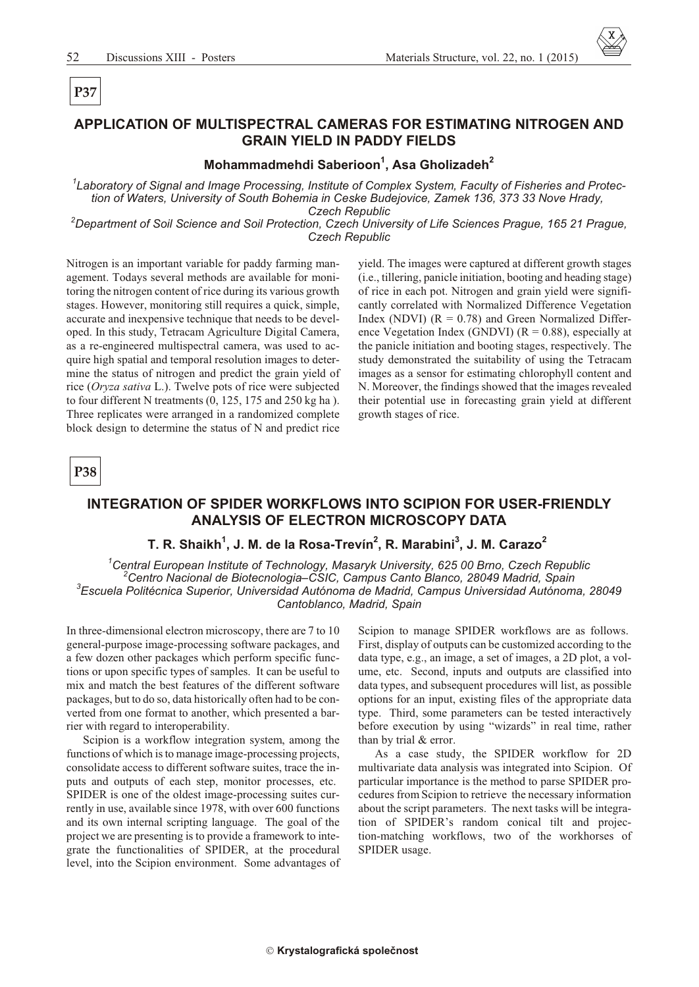# APPLICATION OF MULTISPECTRAL CAMERAS FOR ESTIMATING NITROGEN AND **GRAIN YIELD IN PADDY FIELDS**

# Mohammadmehdi Saberioon<sup>1</sup>, Asa Gholizadeh<sup>2</sup>

<sup>1</sup>Laboratory of Signal and Image Processing, Institute of Complex System, Faculty of Fisheries and Protection of Waters, University of South Bohemia in Ceske Budejovice, Zamek 136, 373 33 Nove Hrady, **Czech Republic** 

<sup>2</sup>Department of Soil Science and Soil Protection, Czech University of Life Sciences Prague, 165 21 Prague, **Czech Republic** 

Nitrogen is an important variable for paddy farming management. Todays several methods are available for monitoring the nitrogen content of rice during its various growth stages. However, monitoring still requires a quick, simple, accurate and inexpensive technique that needs to be developed. In this study, Tetracam Agriculture Digital Camera, as a re-engineered multispectral camera, was used to acquire high spatial and temporal resolution images to determine the status of nitrogen and predict the grain yield of rice (Oryza sativa L.). Twelve pots of rice were subjected Three replicates were arranged in a randomized complete block design to determine the status of N and predict rice

yield. The images were captured at different growth stages (i.e., tillering, panicle initiation, booting and heading stage) of rice in each pot. Nitrogen and grain yield were significantly correlated with Normalized Difference Vegetation Index (NDVI)  $(R = 0.78)$  and Green Normalized Difference Vegetation Index (GNDVI) ( $R = 0.88$ ), especially at the panicle initiation and booting stages, respectively. The study demonstrated the suitability of using the Tetracam images as a sensor for estimating chlorophyll content and N. Moreover, the findings showed that the images revealed their potential use in forecasting grain yield at different growth stages of rice.

P38

#### INTEGRATION OF SPIDER WORKFLOWS INTO SCIPION FOR USER-FRIENDLY **ANALYSIS OF ELECTRON MICROSCOPY DATA**

#### T. R. Shaikh<sup>1</sup>, J. M. de la Rosa-Trevín<sup>2</sup>, R. Marabini<sup>3</sup>, J. M. Carazo<sup>2</sup>

 $^1$ Central European Institute of Technology, Masaryk University, 625 00 Brno, Czech Republic Centro Nacional de Biotecnologia–CSIC, Campus Canto Blanco, 28049 Madrid, Spain <sup>3</sup>Escuela Politécnica Superior, Universidad Autónoma de Madrid, Campus Universidad Autónoma, 28049 Cantoblanco, Madrid, Spain

In three-dimensional electron microscopy, there are 7 to 10 general-purpose image-processing software packages, and a few dozen other packages which perform specific functions or upon specific types of samples. It can be useful to mix and match the best features of the different software packages, but to do so, data historically often had to be converted from one format to another, which presented a barrier with regard to interoperability.

Scipion is a workflow integration system, among the functions of which is to manage image-processing projects, consolidate access to different software suites, trace the inputs and outputs of each step, monitor processes, etc. SPIDER is one of the oldest image-processing suites currently in use, available since 1978, with over 600 functions and its own internal scripting language. The goal of the project we are presenting is to provide a framework to integrate the functionalities of SPIDER, at the procedural level, into the Scipion environment. Some advantages of Scipion to manage SPIDER workflows are as follows. First, display of outputs can be customized according to the data type, e.g., an image, a set of images, a 2D plot, a volume, etc. Second, inputs and outputs are classified into data types, and subsequent procedures will list, as possible options for an input, existing files of the appropriate data type. Third, some parameters can be tested interactively before execution by using "wizards" in real time, rather than by trial & error.

As a case study, the SPIDER workflow for 2D multivariate data analysis was integrated into Scipion. Of particular importance is the method to parse SPIDER procedures from Scipion to retrieve the necessary information about the script parameters. The next tasks will be integration of SPIDER's random conical tilt and projection-matching workflows, two of the workhorses of SPIDER usage.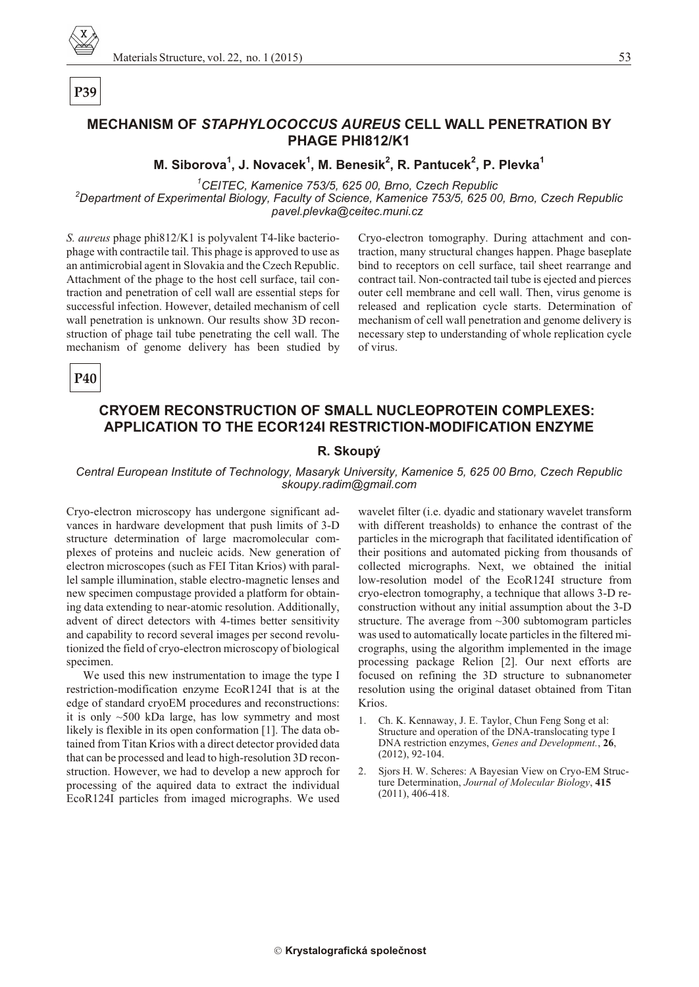

**PHAGE PHI812/K1**

**M. Siborova<sup>1</sup> , J. Novacek<sup>1</sup> , M. Benesik<sup>2</sup> , R. Pantucek<sup>2</sup> , P. Plevka<sup>1</sup>**

<sup>1</sup>CEITEC, Kamenice 753/5, 625 00, Brno, Czech Republic

<sup>2</sup>Department of Experimental Biology, Faculty of Science, Kamenice 753/5, 625 00, Brno, Czech Republic *pavel.plevka@ceitec.muni.cz* 

*S. aureus* phage phi812/K1 is polyvalent T4-like bacteriophage with contractile tail. This phage is approved to use as an antimicrobial agent in Slovakia and the Czech Republic. Attachment of the phage to the host cell surface, tail contraction and penetration of cell wall are essential steps for successful infection. However, detailed mechanism of cell wall penetration is unknown. Our results show 3D reconstruction of phage tail tube penetrating the cell wall. The mechanism of genome delivery has been studied by Cryo-electron to mography. During attachment and contraction, many structural changes happen. Phage base plate bind to receptors on cell surface, tail sheet rearrange and contract tail. Non-contracted tail tube is ejected and pierces outer cell membrane and cell wall. Then, virus genome is released and replication cycle starts. Determination of mechanism of cell wall penetration and genome delivery is necessary step to understanding of whole replication cycle of virus.

**P40**

# **CRYOEM RECONSTRUCTION OF SMALL NUCLEOPROTEIN COMPLEXES: APPLICATION TO THE ECOR124I RESTRICTION-MODIFICATION ENZYME**

#### **R. Skoupý**

#### *Central European Institute of Technology, Masaryk University, Kamenice 5, 625 00 Brno, Czech Republic skoupy.radim@gmail.com*

Cryo-electron microscopy has undergone significant advances in hardware development that push limits of 3-D structure determination of large macromolecular complexes of proteins and nucleic acids. New generation of electron microscopes (such as FEI Titan Krios) with parallel sample illumination, stable electro-magnetic lenses and new specimen compustage provided a platform for obtaining data extending to near-atomic resolution. Additionally, advent of direct detectors with 4-times better sensitivity and capability to record several images per second revolutionized the field of cryo-electron microscopy of biological specimen.

We used this new instrumentation to image the type I restriction-modification enzyme EcoR124I that is at the edge of standard cryoEM procedures and reconstructions: it is only  $~500$  kDa large, has low symmetry and most likely is flexible in its open conformation [1]. The data obtained from Titan Krios with a direct detector provided data that can be processed and lead to high-resolution 3D reconstruction. However, we had to develop a new approch for processing of the aquired data to extract the individual EcoR124I particles from imaged micrographs. We used

wavelet filter (i.e. dyadic and stationary wavelet transform with different treasholds) to enhance the contrast of the particles in the micrograph that facilitated identification of their positions and automated picking from thousands of collected micrographs. Next, we obtained the initial low-resolution model of the EcoR124I structure from cryo-electron tomography, a technique that allows 3-D reconstruction without any initial assumption about the 3-D structure. The average from  $\sim$ 300 subtomogram particles was used to automatically locate particles in the filtered micrographs, using the algorithm implemented in the image processing package Relion [2]. Our next efforts are focused on refining the 3D structure to subnanometer resolution using the original dataset obtained from Titan Krios.

- 1. Ch. K. Kennaway, J. E. Taylor, Chun Feng Song et al: Structure and operation of the DNA-translocating type I DNA restriction enzymes, *Genes and Development.*, 26, (2012), 92-104.
- 2. Sjors H. W. Scheres: A Bayesian View on Cryo-EM Struc ture Determination, *Journal of Molecular Biology*, 415 (2011), 406-418.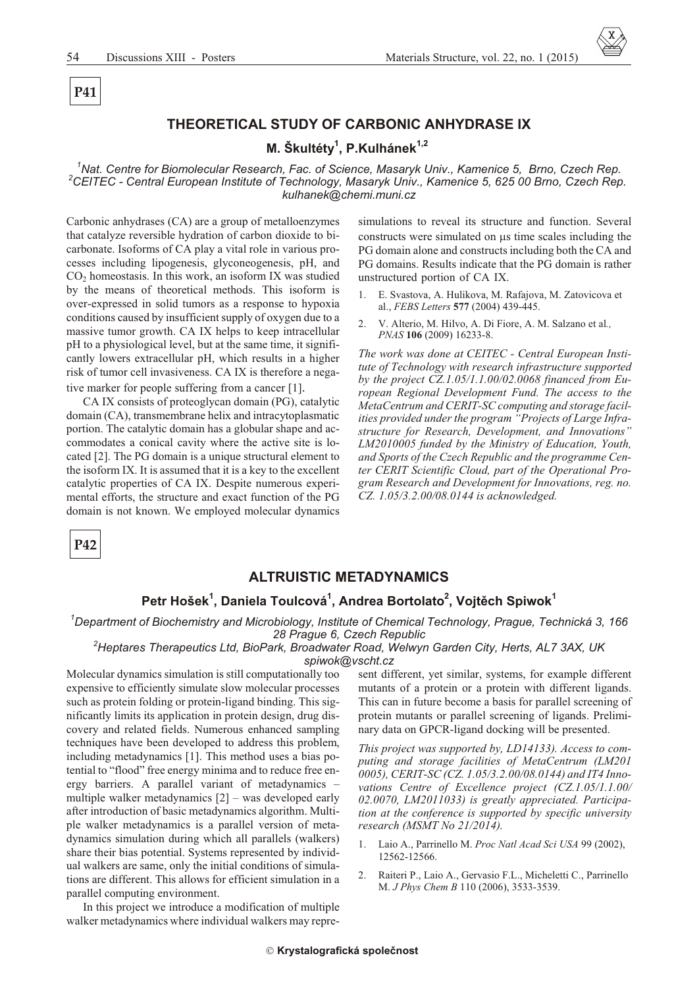## THEORETICAL STUDY OF CARBONIC ANHYDRASE IX

#### M. Škultéty<sup>1</sup>, P.Kulhánek<sup>1,2</sup>

Nat. Centre for Biomolecular Research, Fac. of Science, Masaryk Univ., Kamenice 5, Brno, Czech Rep. <sup>2</sup>CEITEC - Central European Institute of Technology, Masaryk Univ., Kamenice 5, 625 00 Brno, Czech Rep. kulhanek@chemi.muni.cz

Carbonic anhydrases (CA) are a group of metalloenzymes that catalyze reversible hydration of carbon dioxide to bicarbonate. Isoforms of CA play a vital role in various processes including lipogenesis, glyconeogenesis, pH, and CO<sub>2</sub> homeostasis. In this work, an isoform IX was studied by the means of theoretical methods. This isoform is over-expressed in solid tumors as a response to hypoxia conditions caused by insufficient supply of oxygen due to a massive tumor growth. CA IX helps to keep intracellular pH to a physiological level, but at the same time, it significantly lowers extracellular pH, which results in a higher risk of tumor cell invasiveness. CA IX is therefore a negative marker for people suffering from a cancer [1].

CA IX consists of proteoglycan domain (PG), catalytic domain (CA), transmembrane helix and intracytoplasmatic portion. The catalytic domain has a globular shape and accommodates a conical cavity where the active site is located [2]. The PG domain is a unique structural element to the isoform IX. It is assumed that it is a key to the excellent catalytic properties of CA IX. Despite numerous experimental efforts, the structure and exact function of the PG domain is not known. We employed molecular dynamics

simulations to reveal its structure and function. Several constructs were simulated on s time scales including the PG domain alone and constructs including both the CA and PG domains. Results indicate that the PG domain is rather unstructured portion of CA IX.

- E. Svastova, A. Hulikova, M. Rafajova, M. Zatovicova et al., FEBS Letters 577 (2004) 439-445.
- $2.$ V. Alterio, M. Hilvo, A. Di Fiore, A. M. Salzano et al., PNAS 106 (2009) 16233-8.

The work was done at CEITEC - Central European Institute of Technology with research infrastructure supported by the project  $CZ.1.05/1.1.00/02.0068$  financed from European Regional Development Fund. The access to the MetaCentrum and CERIT-SC computing and storage facilities provided under the program "Projects of Large Infrastructure for Research, Development, and Innovations" LM2010005 funded by the Ministry of Education, Youth, and Sports of the Czech Republic and the programme Center CERIT Scientific Cloud, part of the Operational Program Research and Development for Innovations, reg. no. CZ. 1.05/3.2.00/08.0144 is acknowledged.

P42

#### **ALTRUISTIC METADYNAMICS**

#### Petr Hošek<sup>1</sup>, Daniela Toulcová<sup>1</sup>, Andrea Bortolato<sup>2</sup>, Vojtěch Spiwok<sup>1</sup>

<sup>1</sup>Department of Biochemistry and Microbiology, Institute of Chemical Technology, Prague, Technická 3, 166 28 Praque 6, Czech Republic

<sup>2</sup>Heptares Therapeutics Ltd, BioPark, Broadwater Road, Welwyn Garden City, Herts, AL7 3AX, UK spiwok@vscht.cz

Molecular dynamics simulation is still computationally too expensive to efficiently simulate slow molecular processes such as protein folding or protein-ligand binding. This significantly limits its application in protein design, drug discovery and related fields. Numerous enhanced sampling techniques have been developed to address this problem, including metadynamics [1]. This method uses a bias potential to "flood" free energy minima and to reduce free energy barriers. A parallel variant of metadynamics multiple walker metadynamics  $[2]$  – was developed early after introduction of basic metadynamics algorithm. Multiple walker metadynamics is a parallel version of metadynamics simulation during which all parallels (walkers) share their bias potential. Systems represented by individual walkers are same, only the initial conditions of simulations are different. This allows for efficient simulation in a parallel computing environment.

In this project we introduce a modification of multiple walker metadynamics where individual walkers may represent different, yet similar, systems, for example different mutants of a protein or a protein with different ligands. This can in future become a basis for parallel screening of protein mutants or parallel screening of ligands. Preliminary data on GPCR-ligand docking will be presented.

This project was supported by, LD14133). Access to computing and storage facilities of MetaCentrum (LM201 0005), CERIT-SC (CZ. 1.05/3.2.00/08.0144) and IT4 Innovations Centre of Excellence project (CZ.1.05/1.1.00/ 02.0070, LM2011033) is greatly appreciated. Participation at the conference is supported by specific university research (MSMT No 21/2014).

- Laio A., Parrinello M. Proc Natl Acad Sci USA 99 (2002),  $\mathbf{1}$ . 12562-12566.
- $2.$ Raiteri P., Laio A., Gervasio F.L., Micheletti C., Parrinello M. J Phys Chem B 110 (2006), 3533-3539.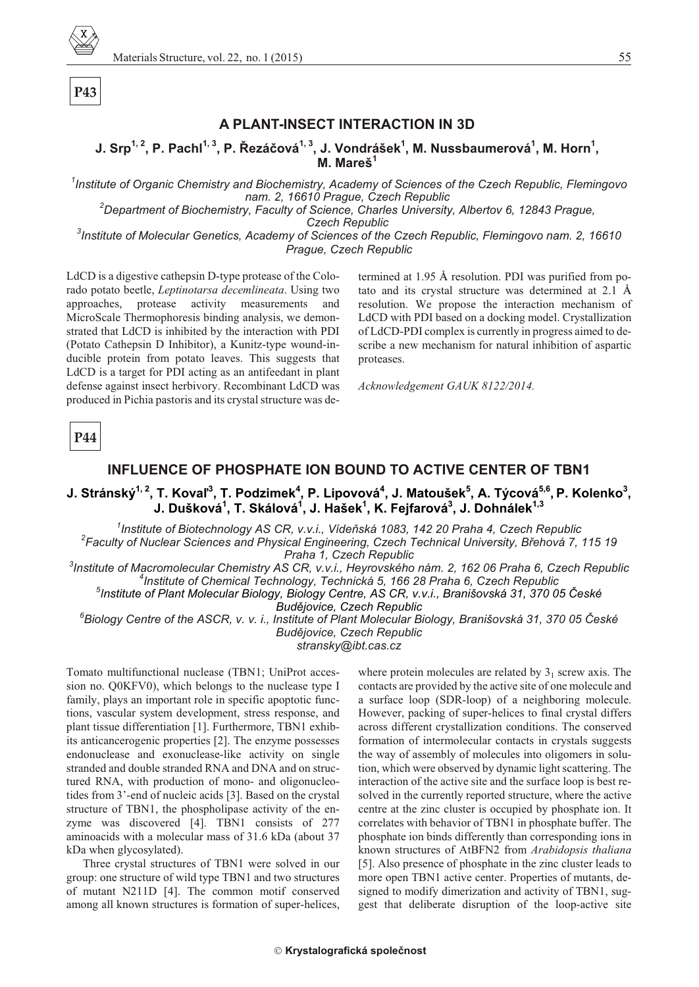

### **A PLANT-INSECT INTERACTION IN 3D**

#### $\mathsf{J. Srp}^{1,2}, \mathsf{P.~Pachl}^{1,3}, \mathsf{P.~\n \tilde{Rezáčová}^{1,3}, \mathsf{J.~Vondrášek}^{1}, \mathsf{M.~Nussbaumerová}^{1}, \mathsf{M.~Horn}^{1},$ **M. Mareš 1**

<sup>1</sup> Institute of Organic Chemistry and Biochemistry, Academy of Sciences of the Czech Republic, Flemingovo *nam.* 2, 16610 Prague, Czech Republic <sup>2</sup>Department of Biochemistry, Faculty of Science, Charles University, Albertov 6, 12843 Prague,

**Czech Republic** 

<sup>3</sup> Institute of Molecular Genetics, Academy of Sciences of the Czech Republic, Flemingovo nam. 2, 16610 **Prague, Czech Republic** 

LdCD is a digestive cathepsin D-type protease of the Colorado potato beetle, *Leptinotarsa decemlineata*. Using two approaches, protease activity measurements and MicroScale Thermophoresis binding analysis, we demonstrated that LdCD is inhibited by the interaction with PDI (Potato Cathepsin D Inhibitor), a Kunitz-type wound-inducible protein from potato leaves. This suggests that LdCD is a target for PDI acting as an antifeedant in plant defense against insect herbivory. Recombinant LdCD was produced in Pichia pastoris and its crystal structure was de-

termined at 1.95 Å resolution. PDI was purified from potato and its crystal structure was determined at  $2.1 \text{ Å}$ resolution. We propose the interaction mechanism of LdCD with PDI based on a docking model. Crystallization of LdCD-PDI complex is currently in progress aimed to describe a new mechanism for natural inhibition of aspartic proteases.

*Ac knowl edge ment GAUK 8122/2014.*

**P44**

#### **INFLUENCE OF PHOSPHATE ION BOUND TO ACTIVE CENTER OF TBN1**

#### $\bf J$ . Stránský $^{1,\,2}$ , T. Kovaľ $^3$ , T. Podzimek $^4$ , P. Lipovová $^4$ , J. Matoušek $^5$ , A. Týcová $^{5,6}$ , P. Kolenko $^3$ , **J. Dušková<sup>1</sup> , T. Skálová<sup>1</sup> , J. Hašek<sup>1</sup> , K. Fejfarová<sup>3</sup> , J. Dohnálek1,3**

<sup>1</sup> Institute of Biotechnology AS CR, v.v.i., Vídeňská 1083, 142 20 Praha 4, Czech Republic <sup>2</sup> Faculty of Nuclear Sciences and Physical Engineering, Czech Technical University, Břehová 7, 115 19 *Praha 1, Czech Republic* 

<sup>3</sup> Institute of Macromolecular Chemistry AS CR, v.v.i., Heyrovského nám. 2, 162 06 Praha 6, Czech Republic <sup>4</sup> Institute of Chemical Technology, Technická 5, 166 28 Praha 6, Czech Republic *5 Institute of Plant Mo lec u lar Bi ol ogy, Bi ol ogy Cen tre, AS CR, v.v.i., Branišovská 31, 370 05 Èeské*

**Budějovice, Czech Republic** 

<sup>6</sup>Biology Centre of the ASCR, v. v. i., Institute of Plant Molecular Biology, Branišovská 31, 370 05 České **Budějovice, Czech Republic** *stransky@ibt.cas.cz*

Tomato multifunctional nuclease (TBN1; UniProt accession no. Q0KFV0), which belongs to the nuclease type I family, plays an important role in specific apoptotic functions, vascular system development, stress response, and plant tissue differentiation [1]. Furthermore, TBN1 exhibits anticancerogenic properties [2]. The enzyme possesses endonuclease and exonuclease-like activity on single stranded and double stranded RNA and DNA and on structured RNA, with production of mono- and oligonucleotides from 3'-end of nucleic acids [3]. Based on the crystal structure of TBN1, the phospholipase activity of the enzyme was discovered [4]. TBN1 consists of 277 aminoacids with a molecular mass of 31.6 kDa (about 37 kDa when glycosylated).

Three crystal structures of TBN1 were solved in our group: one structure of wild type TBN1 and two structures of mutant N211D [4]. The common motif conserved among all known structures is formation of super-helices,

where protein molecules are related by  $3<sub>1</sub>$  screw axis. The contacts are provided by the active site of one molecule and a surface loop (SDR-loop) of a neighboring molecule. However, packing of super-helices to final crystal differs across different crystallization conditions. The conserved formation of intermolecular contacts in crystals suggests the way of assembly of molecules into oligomers in solution, which were observed by dynamic light scattering. The interaction of the active site and the surface loop is best resolved in the currently reported structure, where the active centre at the zinc cluster is occupied by phosphate ion. It correlates with behavior of TBN1 in phosphate buffer. The phosphate ion binds differently than corresponding ions in known structures of AtBFN2 from *Arabidopsis thaliana* [5]. Also presence of phosphate in the zinc cluster leads to more open TBN1 active center. Properties of mutants, designed to modify dimerization and activity of TBN1, suggest that deliberate disruption of the loop-active site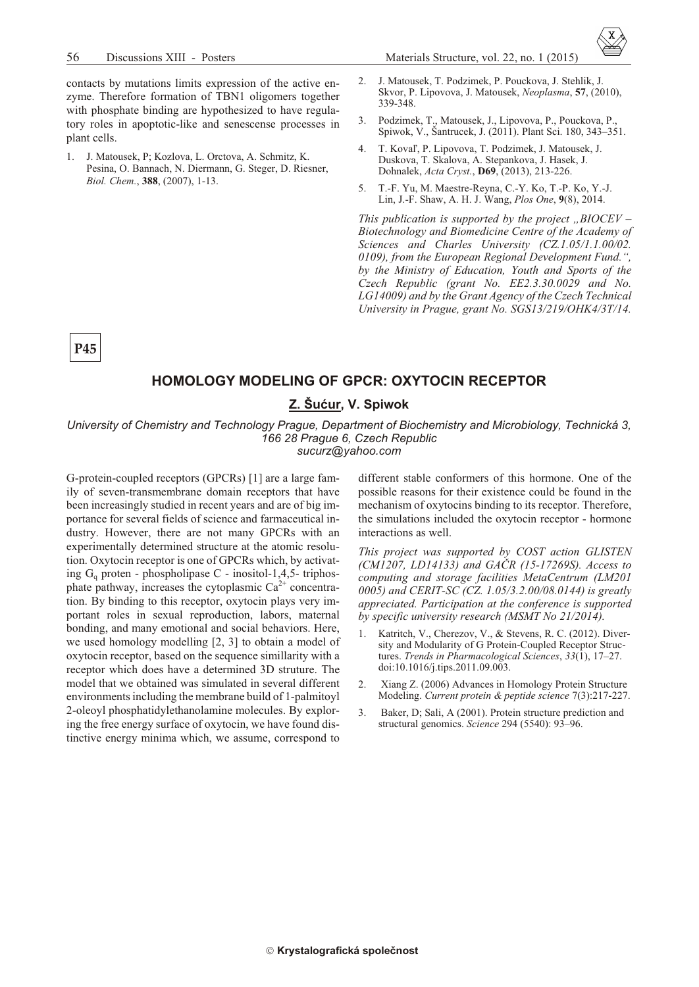contacts by mutations limits expression of the active enzyme. Therefore formation of TBN1 oligomers together with phosphate binding are hypothesized to have regulatory roles in apoptotic-like and senescense processes in plant cells.

J. Matousek, P; Kozlova, L. Orctova, A. Schmitz, K. 1. Pesina, O. Bannach, N. Diermann, G. Steger, D. Riesner, Biol. Chem., 388, (2007), 1-13.



- 3. Podzimek, T., Matousek, J., Lipovova, P., Pouckova, P., Spiwok, V., Šantrucek, J. (2011). Plant Sci. 180, 343–351.
- T. Kovaľ, P. Lipovova, T. Podzimek, J. Matousek, J.  $4.$ Duskova, T. Skalova, A. Stepankova, J. Hasek, J. Dohnalek, Acta Cryst., D69, (2013), 213-226.
- 5. T.-F. Yu, M. Maestre-Revna, C.-Y. Ko, T.-P. Ko, Y.-J. Lin, J.-F. Shaw, A. H. J. Wang, Plos One, 9(8), 2014.

This publication is supported by the project, BIOCEV – Biotechnology and Biomedicine Centre of the Academy of Sciences and Charles University (CZ.1.05/1.1.00/02. 0109), from the European Regional Development Fund.", by the Ministry of Education, Youth and Sports of the Czech Republic (grant No. EE2.3.30.0029 and No. LG14009) and by the Grant Agency of the Czech Technical University in Prague, grant No. SGS13/219/OHK4/3T/14.

P<sub>45</sub>

#### **HOMOLOGY MODELING OF GPCR: OXYTOCIN RECEPTOR**

#### Z. Šućur. V. Spiwok

University of Chemistry and Technology Prague, Department of Biochemistry and Microbiology, Technická 3, 166 28 Prague 6, Czech Republic sucurz@yahoo.com

G-protein-coupled receptors (GPCRs) [1] are a large family of seven-transmembrane domain receptors that have been increasingly studied in recent years and are of big importance for several fields of science and farmaceutical industry. However, there are not many GPCRs with an experimentally determined structure at the atomic resolution. Oxytocin receptor is one of GPCRs which, by activating  $G_q$  proten - phospholipase C - inositol-1,4,5- triphosphate pathway, increases the cytoplasmic  $Ca^{2+}$  concentration. By binding to this receptor, oxytocin plays very important roles in sexual reproduction, labors, maternal bonding, and many emotional and social behaviors. Here, we used homology modelling  $[2, 3]$  to obtain a model of oxytocin receptor, based on the sequence simillarity with a receptor which does have a determined 3D struture. The model that we obtained was simulated in several different environments including the membrane build of 1-palmitoyl 2-oleoyl phosphatidylethanolamine molecules. By exploring the free energy surface of oxytocin, we have found distinctive energy minima which, we assume, correspond to

different stable conformers of this hormone. One of the possible reasons for their existence could be found in the mechanism of oxytocins binding to its receptor. Therefore, the simulations included the oxytocin receptor - hormone interactions as well.

This project was supported by COST action GLISTEN (CM1207, LD14133) and GACR (15-17269S). Access to computing and storage facilities MetaCentrum (LM201 0005) and CERIT-SC (CZ. 1.05/3.2.00/08.0144) is greatly appreciated. Participation at the conference is supported by specific university research (MSMT No 21/2014).

- Katritch, V., Cherezov, V., & Stevens, R. C. (2012). Diver- $1<sup>1</sup>$ sity and Modularity of G Protein-Coupled Receptor Structures. Trends in Pharmacological Sciences, 33(1), 17-27. doi:10.1016/j.tips.2011.09.003.
- Xiang Z. (2006) Advances in Homology Protein Structure 2. Modeling. Current protein & peptide science 7(3):217-227.
- 3. Baker, D; Sali, A (2001). Protein structure prediction and structural genomics. Science 294 (5540): 93-96.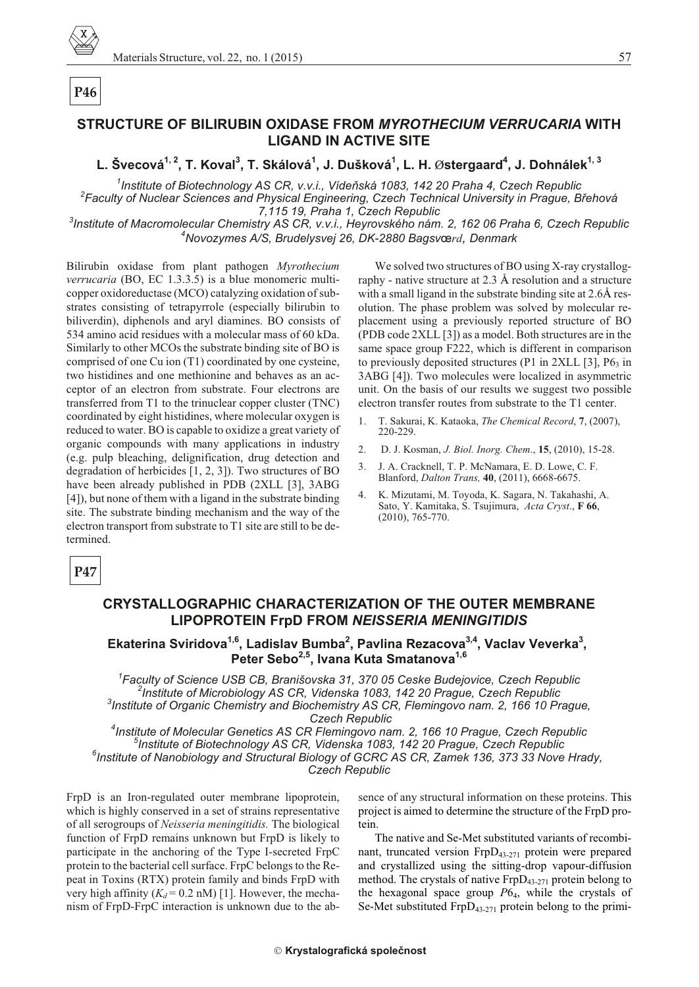# STRUCTURE OF BILIRUBIN OXIDASE FROM MYROTHECIUM VERRUCARIA WITH **LIGAND IN ACTIVE SITE**

# L. Švecová<sup>1, 2</sup>, T. Koval<sup>3</sup>, T. Skálová<sup>1</sup>, J. Dušková<sup>1</sup>, L. H. Østergaard<sup>4</sup>, J. Dohnálek<sup>1, 3</sup>

<sup>1</sup>Institute of Biotechnology AS CR, v.v.i., Vídeňská 1083, 142 20 Praha 4, Czech Republic <sup>2</sup>Faculty of Nuclear Sciences and Physical Engineering, Czech Technical University in Prague, Břehová 7,115 19, Praha 1, Czech Republic

<sup>3</sup>Institute of Macromolecular Chemistry AS CR, v.v.i., Heyrovského nám. 2, 162 06 Praha 6, Czech Republic <sup>4</sup>Novozymes A/S, Brudelysvej 26, DK-2880 Bagsvœrd, Denmark

Bilirubin oxidase from plant pathogen Myrothecium *verrucaria* (BO, EC 1.3.3.5) is a blue monomeric multicopper oxidoreductase (MCO) catalyzing oxidation of substrates consisting of tetrapyrrole (especially bilirubin to biliverdin), diphenols and aryl diamines. BO consists of 534 amino acid residues with a molecular mass of 60 kDa. Similarly to other MCOs the substrate binding site of BO is comprised of one Cu ion (T1) coordinated by one cysteine, two histidines and one methionine and behaves as an acceptor of an electron from substrate. Four electrons are transferred from T1 to the trinuclear copper cluster (TNC) coordinated by eight histidines, where molecular oxygen is reduced to water. BO is capable to oxidize a great variety of organic compounds with many applications in industry (e.g. pulp bleaching, delignification, drug detection and degradation of herbicides  $[1, 2, 3]$ ). Two structures of BO have been already published in PDB (2XLL [3], 3ABG [4]), but none of them with a ligand in the substrate binding site. The substrate binding mechanism and the way of the electron transport from substrate to T1 site are still to be determined.

We solved two structures of BO using X-ray crystallography - native structure at 2.3 Å resolution and a structure with a small ligand in the substrate binding site at 2.6Å resolution. The phase problem was solved by molecular replacement using a previously reported structure of BO (PDB code 2XLL [3]) as a model. Both structures are in the same space group F222, which is different in comparison to previously deposited structures (P1 in 2XLL [3],  $P6<sub>3</sub>$  in 3ABG [4]). Two molecules were localized in asymmetric unit. On the basis of our results we suggest two possible electron transfer routes from substrate to the T1 center.

- $\mathbf{1}$ T. Sakurai, K. Kataoka, The Chemical Record, 7, (2007), 220-229.
- $2^{1}$ D. J. Kosman, J. Biol. Inorg. Chem., 15, (2010), 15-28.
- J. A. Cracknell, T. P. McNamara, E. D. Lowe, C. F.  $\overline{3}$ . Blanford, Dalton Trans, 40, (2011), 6668-6675.
- $\overline{4}$ K. Mizutami, M. Toyoda, K. Sagara, N. Takahashi, A. Sato, Y. Kamitaka, S. Tsujimura, Acta Cryst., F 66,  $(2010), 765-770.$

P47

## **CRYSTALLOGRAPHIC CHARACTERIZATION OF THE OUTER MEMBRANE LIPOPROTEIN FrpD FROM NEISSERIA MENINGITIDIS**

# Ekaterina Sviridova<sup>1,6</sup>, Ladislav Bumba<sup>2</sup>, Pavlina Rezacova<sup>3,4</sup>, Vaclav Veverka<sup>3</sup>, Peter Sebo<sup>2,5</sup>, Ivana Kuta Smatanova<sup>1,6</sup>

<sup>1</sup>Faculty of Science USB CB, Branišovska 31, 370 05 Ceske Budejovice, Czech Republic <sup>2</sup>Institute of Microbiology AS CR, Videnska 1083, 142 20 Prague, Czech Republic <sup>3</sup>Institute of Organic Chemistry and Biochemistry AS CR, Flemingovo nam. 2, 166 10 Prague, **Czech Republic** 

<sup>4</sup>Institute of Molecular Genetics AS CR Flemingovo nam. 2, 166 10 Prague, Czech Republic <sup>9</sup>Institute of Biotechnology AS CR, Videnska 1083, 142 20 Prague, Czech Republic <sup>6</sup>Institute of Nanobiology and Structural Biology of GCRC AS CR, Zamek 136, 373 33 Nove Hrady, **Czech Republic** 

FrpD is an Iron-regulated outer membrane lipoprotein, which is highly conserved in a set of strains representative of all serogroups of Neisseria meningitidis. The biological function of FrpD remains unknown but FrpD is likely to participate in the anchoring of the Type I-secreted FrpC protein to the bacterial cell surface. FrpC belongs to the Repeat in Toxins (RTX) protein family and binds FrpD with very high affinity ( $K_d$  = 0.2 nM) [1]. However, the mechanism of FrpD-FrpC interaction is unknown due to the absence of any structural information on these proteins. This project is aimed to determine the structure of the FrpD protein.

The native and Se-Met substituted variants of recombinant, truncated version FrpD<sub>43-271</sub> protein were prepared and crystallized using the sitting-drop vapour-diffusion method. The crystals of native  $FrpD_{43-271}$  protein belong to the hexagonal space group  $P6<sub>4</sub>$ , while the crystals of Se-Met substituted  $FrpD_{43-271}$  protein belong to the primi-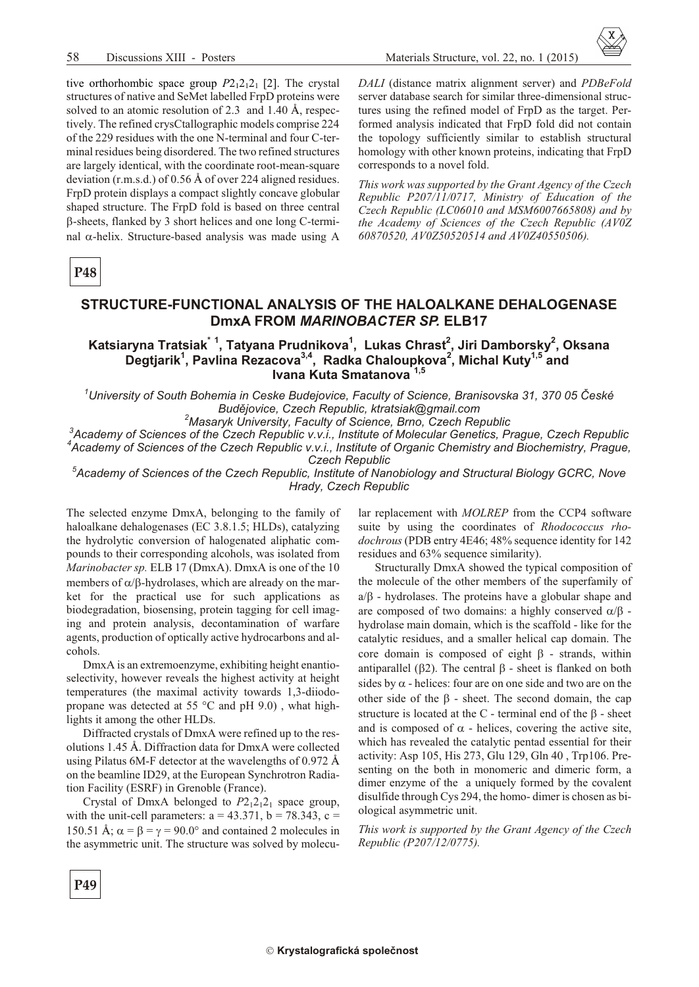

tive orthorhombic space group  $P2_12_12_1$  [2]. The crystal structures of native and SeMet labelled FrpD proteins were solved to an atomic resolution of 2.3 and 1.40 Å, respectively. The refined crysCtallographic models comprise 224 of the 229 residues with the one N-terminal and four C-terminal residues being disordered. The two refined structures are largely identical, with the coordinate root-mean-square deviation (r.m.s.d.) of 0.56 Å of over 224 aligned residues. FrpD protein displays a compact slightly concave globular shaped structure. The FrpD fold is based on three central -sheets, flanked by 3 short helices and one long C-termi-

nal -helix. Structure-based analysis was made using A

DALI (distance matrix alignment server) and PDBeFold server database search for similar three-dimensional structures using the refined model of FrpD as the target. Performed analysis indicated that FrpD fold did not contain the topology sufficiently similar to establish structural homology with other known proteins, indicating that FrpD corresponds to a novel fold.

This work was supported by the Grant Agency of the Czech Republic P207/11/0717, Ministry of Education of the Czech Republic (LC06010 and MSM6007665808) and by the Academy of Sciences of the Czech Republic (AV0Z 60870520, AV0Z50520514 and AV0Z40550506).

P48

#### STRUCTURE-FUNCTIONAL ANALYSIS OF THE HALOALKANE DEHALOGENASE DmxA FROM MARINOBACTER SP. ELB17

#### Katsiaryna Tratsiak<sup>\* 1</sup>, Tatyana Prudnikova<sup>1</sup>, Lukas Chrast<sup>2</sup>, Jiri Damborsky<sup>2</sup>, Oksana Degtjarik<sup>1</sup>, Pavlina Rezacova<sup>3,4</sup>, Radka Chaloupkova<sup>2</sup>, Michal Kuty<sup>1,5</sup> and Ivana Kuta Smatanova<sup>1,5</sup>

<sup>1</sup>University of South Bohemia in Ceske Budejovice, Faculty of Science, Branisovska 31, 370 05 České Budějovice, Czech Republic, ktratsiak@gmail.com

<sup>2</sup>Masaryk University, Faculty of Science, Brno, Czech Republic

Academy of Sciences of the Czech Republic v.v.i., Institute of Molecular Genetics, Prague, Czech Republic Academy of Sciences of the Czech Republic v.v.i., Institute of Organic Chemistry and Biochemistry, Prague, **Czech Republic** 

<sup>5</sup>Academy of Sciences of the Czech Republic, Institute of Nanobiology and Structural Biology GCRC, Nove Hrady, Czech Republic

The selected enzyme DmxA, belonging to the family of haloalkane dehalogenases (EC 3.8.1.5; HLDs), catalyzing the hydrolytic conversion of halogenated aliphatic compounds to their corresponding alcohols, was isolated from Marinobacter sp. ELB 17 (DmxA). DmxA is one of the 10 members of -hydrolases, which are already on the market for the practical use for such applications as biodegradation, biosensing, protein tagging for cell imaging and protein analysis, decontamination of warfare agents, production of optically active hydrocarbons and alcohols

DmxA is an extremoenzyme, exhibiting height enantioselectivity, however reveals the highest activity at height temperatures (the maximal activity towards 1,3-diiodopropane was detected at 55  $^{\circ}$ C and pH 9.0), what highlights it among the other HLDs.

Diffracted crystals of DmxA were refined up to the resolutions 1.45 Å. Diffraction data for DmxA were collected using Pilatus 6M-F detector at the wavelengths of 0.972  $\AA$ on the beamline ID29, at the European Synchrotron Radiation Facility (ESRF) in Grenoble (France).

Crystal of DmxA belonged to  $P2_12_12_1$  space group, with the unit-cell parameters:  $a = 43.371$ ,  $b = 78.343$ ,  $c =$ 150.51 Å;  $=$  =  $=$  90.0 and contained 2 molecules in the asymmetric unit. The structure was solved by molecu-

lar replacement with MOLREP from the CCP4 software suite by using the coordinates of Rhodococcus rhodochrous (PDB entry 4E46; 48% sequence identity for 142 residues and 63% sequence similarity).

Structurally DmxA showed the typical composition of the molecule of the other members of the superfamily of - hydrolases. The proteins have a globular shape and  $a/$ are composed of two domains: a highly conserved hydrolase main domain, which is the scaffold - like for the catalytic residues, and a smaller helical cap domain. The core domain is composed of eight - strands, within antiparallel (2). The central - sheet is flanked on both sides by - helices: four are on one side and two are on the other side of the - sheet. The second domain, the cap structure is located at the C - terminal end of the - sheet and is composed of - helices, covering the active site, which has revealed the catalytic pentad essential for their activity: Asp 105, His 273, Glu 129, Gln 40, Trp106. Presenting on the both in monomeric and dimeric form, a dimer enzyme of the a uniquely formed by the covalent disulfide through Cys 294, the homo-dimer is chosen as biological asymmetric unit.

This work is supported by the Grant Agency of the Czech Republic (P207/12/0775).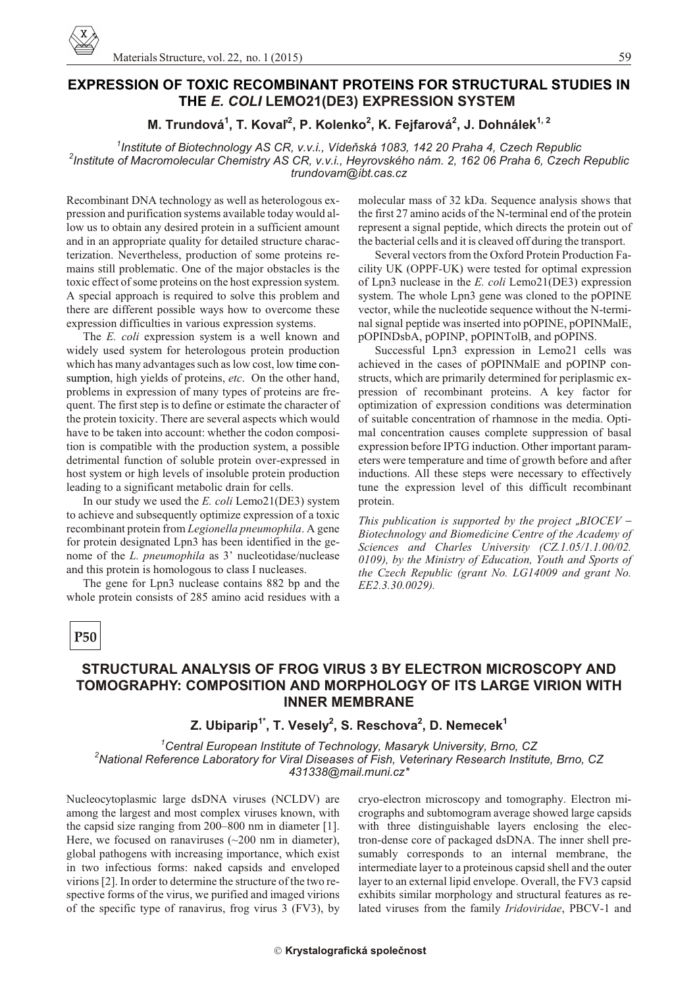# **EXPRESSION OF TOXIC RECOMBINANT PROTEINS FOR STRUCTURAL STUDIES IN THE** *E. COLI* **LEMO21(DE3) EXPRESSION SYSTEM**

#### **M. Trundová<sup>1</sup> , T. Kova¾<sup>2</sup> , P. Kolenko<sup>2</sup> , K. Fejfarová<sup>2</sup> , J. Dohnálek1, 2**

<sup>1</sup> Institute of Biotechnology AS CR, v.v.i., Vídeňská 1083, 142 20 Praha 4, Czech Republic <sup>2</sup> Institute of Macromolecular Chemistry AS CR, v.v.i., Heyrovského nám. 2, 162 06 Praha 6, Czech Republic *trundovam@ibt.cas.cz*

Recombinant DNA technology as well as heterologous expression and purification systems available today would allow us to obtain any desired protein in a sufficient amount and in an appropriate quality for detailed structure characterization. Nevertheless, production of some proteins remains still problematic. One of the major obstacles is the toxic effect of some proteins on the host expression system. A special approach is required to solve this problem and there are different possible ways how to overcome these expression difficulties in various expression systems.

The *E. coli* expression system is a well known and widely used system for heterologous protein production which has many advantages such as low cost, low time consumption, high yields of proteins, *etc*. On the other hand, problems in expression of many types of proteins are frequent. The first step is to define or estimate the character of the protein toxicity. There are several aspects which would have to be taken into account: whether the codon composition is compatible with the production system, a possible detrimental function of soluble protein over-expressed in host system or high levels of insoluble protein production leading to a significant metabolic drain for cells.

In our study we used the *E. coli* Lemo21(DE3) system to achieve and subsequently optimize expression of a toxic re combinant protein from *Legionella pneumophila*. A gene for protein designated Lpn3 has been identified in the genome of the *L. pneumophila* as 3' nucleotidase/nuclease and this protein is homologous to class I nucleases.

The gene for Lpn3 nuclease contains 882 bp and the whole protein consists of 285 amino acid residues with a molecular mass of 32 kDa. Sequence analysis shows that the first 27 amino acids of the N-terminal end of the protein represent a signal peptide, which directs the protein out of the bacterial cells and it is cleaved off during the transport.

Several vectors from the Oxford Protein Production Facility UK (OPPF-UK) were tested for optimal expression of Lpn3 nuclease in the *E. coli* Lemo21(DE3) expression system. The whole Lpn3 gene was cloned to the pOPINE vector, while the nucleotide sequence without the N-terminal signal peptide was inserted into pOPINE, pOPINMalE, pOPINDsbA, pOPINP, pOPINTolB, and pOPINS.

Successful Lpn3 expression in Lemo21 cells was achieved in the cases of pOPINMalE and pOPINP constructs, which are primarily determined for periplasmic expression of recombinant proteins. A key factor for optimization of expression conditions was determination of suitable concentration of rhamnose in the media. Optimal concentration causes complete suppression of basal expression before IPTG induction. Other important parameters were temperature and time of growth before and after inductions. All these steps were necessary to effectively tune the expression level of this difficult recombinant protein.

*This publication is supported by the project "BIOCEV – Biotechnology and Biomedicine Centre of the Academy of* Sciences and Charles University (CZ.1.05/1.1.00/02. 0109), by the Ministry of Education, Youth and Sports of *the Czech Republic (grant No. LG14009 and grant No. EE2.3.30.0029).*

# **P50**

#### **STRUCTURAL ANALYSIS OF FROG VIRUS 3 BY ELECTRON MICROSCOPY AND TOMOGRAPHY: COMPOSITION AND MORPHOLOGY OF ITS LARGE VIRION WITH INNER MEMBRANE**

# **Z. Ubiparip1\*, T. Vesely<sup>2</sup> , S. Reschova<sup>2</sup> , D. Nemecek<sup>1</sup>**

<sup>1</sup> Central European Institute of Technology, Masaryk University, Brno, CZ <sup>2</sup>National Reference Laboratory for Viral Diseases of Fish, Veterinary Research Institute, Brno, CZ *431338@mail.muni.cz\**

Nucleocytoplasmic large dsDNA viruses (NCLDV) are among the largest and most complex viruses known, with the capsid size ranging from  $200-800$  nm in diameter [1]. Here, we focused on ranaviruses  $(\sim 200 \text{ nm in diameter})$ , global pathogens with increasing importance, which exist in two infectious forms: naked capsids and enveloped virions [2]. In order to determine the structure of the two respective forms of the virus, we purified and imaged virions of the specific type of ranavirus, frog virus  $3$  (FV3), by

cryo-electron microscopy and tomography. Electron micrographs and subtomogram average showed large capsids with three distinguishable layers enclosing the electron-dense core of packaged dsDNA. The inner shell presumably corresponds to an internal membrane, the in termediate layer to a proteinous capsid shell and the outer layer to an external lipid envelope. Overall, the FV3 capsid exhibits similar morphology and structural features as related viruses from the family *Iridoviridae*, PBCV-1 and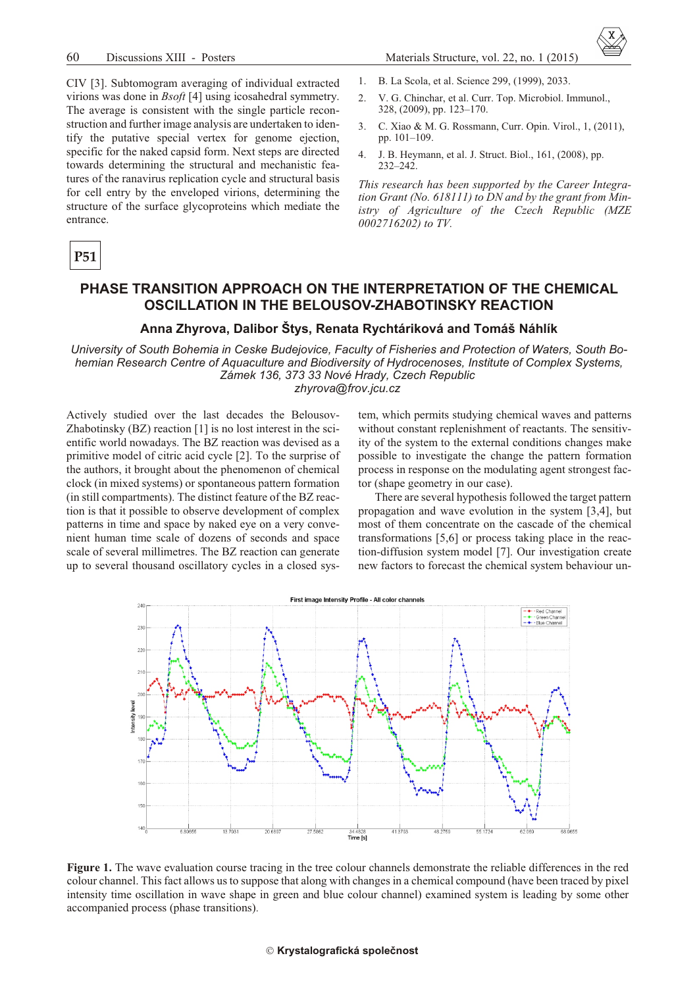CIV [3]. Subtomogram averaging of individual extracted virions was done in *Bsoft* [4] using icosahedral symmetry. The average is consistent with the single particle reconstruction and further image analysis are undertaken to identify the putative special vertex for genome ejection, specific for the naked capsid form. Next steps are directed towards determining the structural and mechanistic features of the ranavirus replication cycle and structural basis for cell entry by the enveloped virions, determining the structure of the surface glycoproteins which mediate the entrance.

$$
\bf P51
$$

#### 1. B. La Scola, et al. Science 299, (1999), 2033.

- $\overline{2}$ . V. G. Chinchar, et al. Curr. Top. Microbiol. Immunol.. 328, (2009), pp. 123-170.
- $\mathcal{E}$ C. Xiao & M. G. Rossmann, Curr. Opin. Virol., 1, (2011), pp. 101-109.
- $4.$ J. B. Heymann, et al. J. Struct. Biol., 161, (2008), pp.  $232 - 242$

This research has been supported by the Career Integration Grant (No. 618111) to DN and by the grant from Ministry of Agriculture of the Czech Republic (MZE 0002716202) to TV.

## PHASE TRANSITION APPROACH ON THE INTERPRETATION OF THE CHEMICAL OSCILLATION IN THE BELOUSOV-ZHABOTINSKY REACTION

#### Anna Zhyrova, Dalibor Štys, Renata Rychtáriková and Tomáš Náhlík

University of South Bohemia in Ceske Budejovice, Faculty of Fisheries and Protection of Waters, South Bohemian Research Centre of Aquaculture and Biodiversity of Hydrocenoses, Institute of Complex Systems, Zámek 136, 373 33 Nové Hrady, Czech Republic zhyrova@frov.jcu.cz

Actively studied over the last decades the Belousov-Zhabotinsky (BZ) reaction [1] is no lost interest in the scientific world nowadays. The BZ reaction was devised as a primitive model of citric acid cycle [2]. To the surprise of the authors, it brought about the phenomenon of chemical clock (in mixed systems) or spontaneous pattern formation (in still compartments). The distinct feature of the BZ reaction is that it possible to observe development of complex patterns in time and space by naked eye on a very convenient human time scale of dozens of seconds and space scale of several millimetres. The BZ reaction can generate up to several thousand oscillatory cycles in a closed sys-

tem, which permits studying chemical waves and patterns without constant replenishment of reactants. The sensitivity of the system to the external conditions changes make possible to investigate the change the pattern formation process in response on the modulating agent strongest factor (shape geometry in our case).

There are several hypothesis followed the target pattern propagation and wave evolution in the system [3,4], but most of them concentrate on the cascade of the chemical transformations  $[5,6]$  or process taking place in the reaction-diffusion system model [7]. Our investigation create new factors to forecast the chemical system behaviour un-



Figure 1. The wave evaluation course tracing in the tree colour channels demonstrate the reliable differences in the red colour channel. This fact allows us to suppose that along with changes in a chemical compound (have been traced by pixel) intensity time oscillation in wave shape in green and blue colour channel) examined system is leading by some other accompanied process (phase transitions).

#### Krystalografická společnost